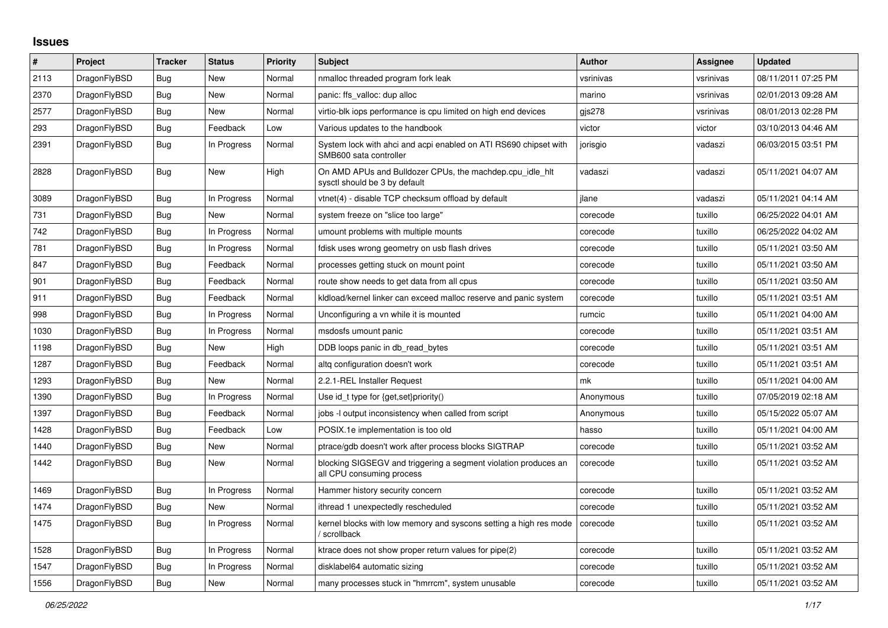## **Issues**

| $\vert$ # | Project      | Tracker    | <b>Status</b> | Priority | <b>Subject</b>                                                                               | <b>Author</b> | Assignee  | <b>Updated</b>      |
|-----------|--------------|------------|---------------|----------|----------------------------------------------------------------------------------------------|---------------|-----------|---------------------|
| 2113      | DragonFlyBSD | Bug        | New           | Normal   | nmalloc threaded program fork leak                                                           | vsrinivas     | vsrinivas | 08/11/2011 07:25 PM |
| 2370      | DragonFlyBSD | Bug        | <b>New</b>    | Normal   | panic: ffs valloc: dup alloc                                                                 | marino        | vsrinivas | 02/01/2013 09:28 AM |
| 2577      | DragonFlyBSD | <b>Bug</b> | New           | Normal   | virtio-blk iops performance is cpu limited on high end devices                               | gis278        | vsrinivas | 08/01/2013 02:28 PM |
| 293       | DragonFlyBSD | Bug        | Feedback      | Low      | Various updates to the handbook                                                              | victor        | victor    | 03/10/2013 04:46 AM |
| 2391      | DragonFlyBSD | Bug        | In Progress   | Normal   | System lock with ahci and acpi enabled on ATI RS690 chipset with<br>SMB600 sata controller   | jorisgio      | vadaszi   | 06/03/2015 03:51 PM |
| 2828      | DragonFlyBSD | Bug        | <b>New</b>    | High     | On AMD APUs and Bulldozer CPUs, the machdep.cpu_idle_hlt<br>sysctl should be 3 by default    | vadaszi       | vadaszi   | 05/11/2021 04:07 AM |
| 3089      | DragonFlyBSD | Bug        | In Progress   | Normal   | vtnet(4) - disable TCP checksum offload by default                                           | ilane         | vadaszi   | 05/11/2021 04:14 AM |
| 731       | DragonFlyBSD | Bug        | New           | Normal   | system freeze on "slice too large"                                                           | corecode      | tuxillo   | 06/25/2022 04:01 AM |
| 742       | DragonFlyBSD | <b>Bug</b> | In Progress   | Normal   | umount problems with multiple mounts                                                         | corecode      | tuxillo   | 06/25/2022 04:02 AM |
| 781       | DragonFlyBSD | Bug        | In Progress   | Normal   | fdisk uses wrong geometry on usb flash drives                                                | corecode      | tuxillo   | 05/11/2021 03:50 AM |
| 847       | DragonFlyBSD | <b>Bug</b> | Feedback      | Normal   | processes getting stuck on mount point                                                       | corecode      | tuxillo   | 05/11/2021 03:50 AM |
| 901       | DragonFlyBSD | Bug        | Feedback      | Normal   | route show needs to get data from all cpus                                                   | corecode      | tuxillo   | 05/11/2021 03:50 AM |
| 911       | DragonFlyBSD | <b>Bug</b> | Feedback      | Normal   | kidload/kernel linker can exceed malloc reserve and panic system                             | corecode      | tuxillo   | 05/11/2021 03:51 AM |
| 998       | DragonFlyBSD | Bug        | In Progress   | Normal   | Unconfiguring a vn while it is mounted                                                       | rumcic        | tuxillo   | 05/11/2021 04:00 AM |
| 1030      | DragonFlyBSD | Bug        | In Progress   | Normal   | msdosfs umount panic                                                                         | corecode      | tuxillo   | 05/11/2021 03:51 AM |
| 1198      | DragonFlyBSD | <b>Bug</b> | New           | High     | DDB loops panic in db_read_bytes                                                             | corecode      | tuxillo   | 05/11/2021 03:51 AM |
| 1287      | DragonFlyBSD | Bug        | Feedback      | Normal   | altg configuration doesn't work                                                              | corecode      | tuxillo   | 05/11/2021 03:51 AM |
| 1293      | DragonFlyBSD | <b>Bug</b> | New           | Normal   | 2.2.1-REL Installer Request                                                                  | mk            | tuxillo   | 05/11/2021 04:00 AM |
| 1390      | DragonFlyBSD | <b>Bug</b> | In Progress   | Normal   | Use id_t type for {get,set}priority()                                                        | Anonymous     | tuxillo   | 07/05/2019 02:18 AM |
| 1397      | DragonFlyBSD | Bug        | Feedback      | Normal   | jobs -I output inconsistency when called from script                                         | Anonymous     | tuxillo   | 05/15/2022 05:07 AM |
| 1428      | DragonFlyBSD | <b>Bug</b> | Feedback      | Low      | POSIX.1e implementation is too old                                                           | hasso         | tuxillo   | 05/11/2021 04:00 AM |
| 1440      | DragonFlyBSD | Bug        | New           | Normal   | ptrace/gdb doesn't work after process blocks SIGTRAP                                         | corecode      | tuxillo   | 05/11/2021 03:52 AM |
| 1442      | DragonFlyBSD | Bug        | <b>New</b>    | Normal   | blocking SIGSEGV and triggering a segment violation produces an<br>all CPU consuming process | corecode      | tuxillo   | 05/11/2021 03:52 AM |
| 1469      | DragonFlyBSD | Bug        | In Progress   | Normal   | Hammer history security concern                                                              | corecode      | tuxillo   | 05/11/2021 03:52 AM |
| 1474      | DragonFlyBSD | Bug        | New           | Normal   | ithread 1 unexpectedly rescheduled                                                           | corecode      | tuxillo   | 05/11/2021 03:52 AM |
| 1475      | DragonFlyBSD | <b>Bug</b> | In Progress   | Normal   | kernel blocks with low memory and syscons setting a high res mode<br>/ scrollback            | corecode      | tuxillo   | 05/11/2021 03:52 AM |
| 1528      | DragonFlyBSD | <b>Bug</b> | In Progress   | Normal   | ktrace does not show proper return values for pipe(2)                                        | corecode      | tuxillo   | 05/11/2021 03:52 AM |
| 1547      | DragonFlyBSD | <b>Bug</b> | In Progress   | Normal   | disklabel64 automatic sizing                                                                 | corecode      | tuxillo   | 05/11/2021 03:52 AM |
| 1556      | DragonFlyBSD | Bug        | New           | Normal   | many processes stuck in "hmrrcm", system unusable                                            | corecode      | tuxillo   | 05/11/2021 03:52 AM |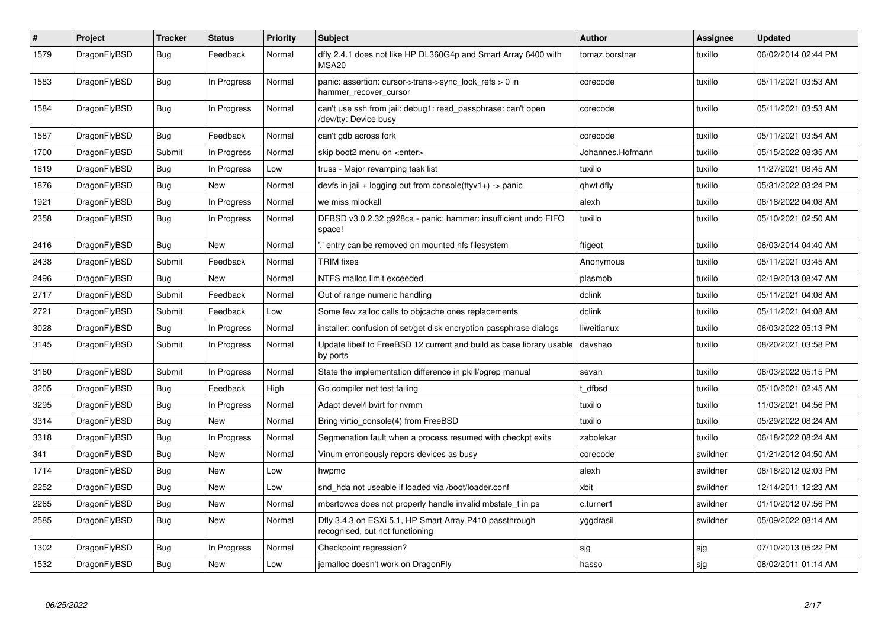| $\vert$ # | Project      | <b>Tracker</b> | <b>Status</b> | <b>Priority</b> | <b>Subject</b>                                                                             | <b>Author</b>    | <b>Assignee</b> | Updated             |
|-----------|--------------|----------------|---------------|-----------------|--------------------------------------------------------------------------------------------|------------------|-----------------|---------------------|
| 1579      | DragonFlyBSD | <b>Bug</b>     | Feedback      | Normal          | dfly 2.4.1 does not like HP DL360G4p and Smart Array 6400 with<br>MSA <sub>20</sub>        | tomaz.borstnar   | tuxillo         | 06/02/2014 02:44 PM |
| 1583      | DragonFlyBSD | Bug            | In Progress   | Normal          | panic: assertion: cursor->trans->sync_lock_refs > 0 in<br>hammer recover cursor            | corecode         | tuxillo         | 05/11/2021 03:53 AM |
| 1584      | DragonFlyBSD | <b>Bug</b>     | In Progress   | Normal          | can't use ssh from jail: debug1: read passphrase: can't open<br>/dev/tty: Device busy      | corecode         | tuxillo         | 05/11/2021 03:53 AM |
| 1587      | DragonFlyBSD | <b>Bug</b>     | Feedback      | Normal          | can't gdb across fork                                                                      | corecode         | tuxillo         | 05/11/2021 03:54 AM |
| 1700      | DragonFlyBSD | Submit         | In Progress   | Normal          | skip boot2 menu on <enter></enter>                                                         | Johannes.Hofmann | tuxillo         | 05/15/2022 08:35 AM |
| 1819      | DragonFlyBSD | <b>Bug</b>     | In Progress   | Low             | truss - Major revamping task list                                                          | tuxillo          | tuxillo         | 11/27/2021 08:45 AM |
| 1876      | DragonFlyBSD | <b>Bug</b>     | <b>New</b>    | Normal          | devfs in jail + logging out from console(ttyv1+) -> panic                                  | qhwt.dfly        | tuxillo         | 05/31/2022 03:24 PM |
| 1921      | DragonFlyBSD | <b>Bug</b>     | In Progress   | Normal          | we miss mlockall                                                                           | alexh            | tuxillo         | 06/18/2022 04:08 AM |
| 2358      | DragonFlyBSD | Bug            | In Progress   | Normal          | DFBSD v3.0.2.32.g928ca - panic: hammer: insufficient undo FIFO<br>space!                   | tuxillo          | tuxillo         | 05/10/2021 02:50 AM |
| 2416      | DragonFlyBSD | Bug            | <b>New</b>    | Normal          | ".' entry can be removed on mounted nfs filesystem                                         | ftigeot          | tuxillo         | 06/03/2014 04:40 AM |
| 2438      | DragonFlyBSD | Submit         | Feedback      | Normal          | <b>TRIM</b> fixes                                                                          | Anonymous        | tuxillo         | 05/11/2021 03:45 AM |
| 2496      | DragonFlyBSD | Bug            | New           | Normal          | NTFS malloc limit exceeded                                                                 | plasmob          | tuxillo         | 02/19/2013 08:47 AM |
| 2717      | DragonFlyBSD | Submit         | Feedback      | Normal          | Out of range numeric handling                                                              | dclink           | tuxillo         | 05/11/2021 04:08 AM |
| 2721      | DragonFlyBSD | Submit         | Feedback      | Low             | Some few zalloc calls to objcache ones replacements                                        | dclink           | tuxillo         | 05/11/2021 04:08 AM |
| 3028      | DragonFlyBSD | <b>Bug</b>     | In Progress   | Normal          | installer: confusion of set/get disk encryption passphrase dialogs                         | liweitianux      | tuxillo         | 06/03/2022 05:13 PM |
| 3145      | DragonFlyBSD | Submit         | In Progress   | Normal          | Update libelf to FreeBSD 12 current and build as base library usable<br>by ports           | davshao          | tuxillo         | 08/20/2021 03:58 PM |
| 3160      | DragonFlyBSD | Submit         | In Progress   | Normal          | State the implementation difference in pkill/pgrep manual                                  | sevan            | tuxillo         | 06/03/2022 05:15 PM |
| 3205      | DragonFlyBSD | Bug            | Feedback      | High            | Go compiler net test failing                                                               | t dfbsd          | tuxillo         | 05/10/2021 02:45 AM |
| 3295      | DragonFlyBSD | <b>Bug</b>     | In Progress   | Normal          | Adapt devel/libvirt for nvmm                                                               | tuxillo          | tuxillo         | 11/03/2021 04:56 PM |
| 3314      | DragonFlyBSD | Bug            | <b>New</b>    | Normal          | Bring virtio console(4) from FreeBSD                                                       | tuxillo          | tuxillo         | 05/29/2022 08:24 AM |
| 3318      | DragonFlyBSD | <b>Bug</b>     | In Progress   | Normal          | Segmenation fault when a process resumed with checkpt exits                                | zabolekar        | tuxillo         | 06/18/2022 08:24 AM |
| 341       | DragonFlyBSD | <b>Bug</b>     | <b>New</b>    | Normal          | Vinum erroneously repors devices as busy                                                   | corecode         | swildner        | 01/21/2012 04:50 AM |
| 1714      | DragonFlyBSD | <b>Bug</b>     | <b>New</b>    | Low             | hwpmc                                                                                      | alexh            | swildner        | 08/18/2012 02:03 PM |
| 2252      | DragonFlyBSD | Bug            | New           | Low             | snd hda not useable if loaded via /boot/loader.conf                                        | xbit             | swildner        | 12/14/2011 12:23 AM |
| 2265      | DragonFlyBSD | Bug            | New           | Normal          | mbsrtowcs does not properly handle invalid mbstate_t in ps                                 | c.turner1        | swildner        | 01/10/2012 07:56 PM |
| 2585      | DragonFlyBSD | Bug            | New           | Normal          | Dfly 3.4.3 on ESXi 5.1, HP Smart Array P410 passthrough<br>recognised, but not functioning | yggdrasil        | swildner        | 05/09/2022 08:14 AM |
| 1302      | DragonFlyBSD | <b>Bug</b>     | In Progress   | Normal          | Checkpoint regression?                                                                     | sjg              | sjg             | 07/10/2013 05:22 PM |
| 1532      | DragonFlyBSD | <b>Bug</b>     | New           | Low             | jemalloc doesn't work on DragonFly                                                         | hasso            | sjg             | 08/02/2011 01:14 AM |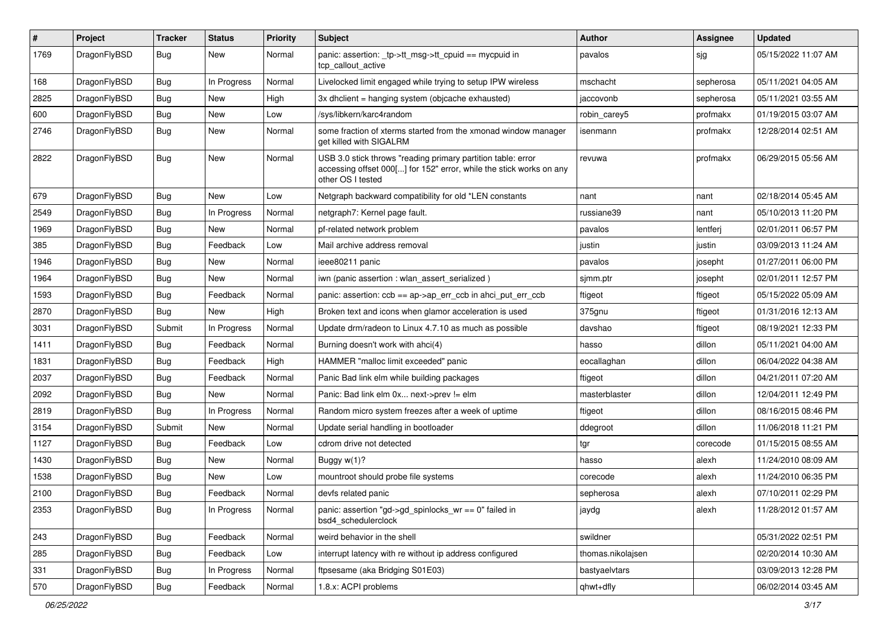| $\sharp$ | Project      | <b>Tracker</b> | <b>Status</b> | <b>Priority</b> | Subject                                                                                                                                                  | Author            | Assignee  | <b>Updated</b>      |
|----------|--------------|----------------|---------------|-----------------|----------------------------------------------------------------------------------------------------------------------------------------------------------|-------------------|-----------|---------------------|
| 1769     | DragonFlyBSD | <b>Bug</b>     | New           | Normal          | panic: assertion: _tp->tt_msg->tt_cpuid == mycpuid in<br>tcp_callout_active                                                                              | pavalos           | sjg       | 05/15/2022 11:07 AM |
| 168      | DragonFlyBSD | <b>Bug</b>     | In Progress   | Normal          | Livelocked limit engaged while trying to setup IPW wireless                                                                                              | mschacht          | sepherosa | 05/11/2021 04:05 AM |
| 2825     | DragonFlyBSD | <b>Bug</b>     | New           | High            | 3x dhclient = hanging system (objcache exhausted)                                                                                                        | jaccovonb         | sepherosa | 05/11/2021 03:55 AM |
| 600      | DragonFlyBSD | <b>Bug</b>     | New           | Low             | /sys/libkern/karc4random                                                                                                                                 | robin_carey5      | profmakx  | 01/19/2015 03:07 AM |
| 2746     | DragonFlyBSD | <b>Bug</b>     | New           | Normal          | some fraction of xterms started from the xmonad window manager<br>get killed with SIGALRM                                                                | isenmann          | profmakx  | 12/28/2014 02:51 AM |
| 2822     | DragonFlyBSD | <b>Bug</b>     | New           | Normal          | USB 3.0 stick throws "reading primary partition table: error<br>accessing offset 000[] for 152" error, while the stick works on any<br>other OS I tested | revuwa            | profmakx  | 06/29/2015 05:56 AM |
| 679      | DragonFlyBSD | Bug            | New           | Low             | Netgraph backward compatibility for old *LEN constants                                                                                                   | nant              | nant      | 02/18/2014 05:45 AM |
| 2549     | DragonFlyBSD | <b>Bug</b>     | In Progress   | Normal          | netgraph7: Kernel page fault.                                                                                                                            | russiane39        | nant      | 05/10/2013 11:20 PM |
| 1969     | DragonFlyBSD | Bug            | New           | Normal          | pf-related network problem                                                                                                                               | pavalos           | lentferj  | 02/01/2011 06:57 PM |
| 385      | DragonFlyBSD | Bug            | Feedback      | Low             | Mail archive address removal                                                                                                                             | justin            | justin    | 03/09/2013 11:24 AM |
| 1946     | DragonFlyBSD | Bug            | <b>New</b>    | Normal          | ieee80211 panic                                                                                                                                          | pavalos           | josepht   | 01/27/2011 06:00 PM |
| 1964     | DragonFlyBSD | Bug            | New           | Normal          | iwn (panic assertion : wlan assert serialized)                                                                                                           | sjmm.ptr          | josepht   | 02/01/2011 12:57 PM |
| 1593     | DragonFlyBSD | Bug            | Feedback      | Normal          | panic: assertion: ccb == ap->ap_err_ccb in ahci_put_err_ccb                                                                                              | ftigeot           | ftigeot   | 05/15/2022 05:09 AM |
| 2870     | DragonFlyBSD | Bug            | New           | High            | Broken text and icons when glamor acceleration is used                                                                                                   | 375gnu            | ftigeot   | 01/31/2016 12:13 AM |
| 3031     | DragonFlyBSD | Submit         | In Progress   | Normal          | Update drm/radeon to Linux 4.7.10 as much as possible                                                                                                    | davshao           | ftigeot   | 08/19/2021 12:33 PM |
| 1411     | DragonFlyBSD | Bug            | Feedback      | Normal          | Burning doesn't work with ahci(4)                                                                                                                        | hasso             | dillon    | 05/11/2021 04:00 AM |
| 1831     | DragonFlyBSD | Bug            | Feedback      | High            | HAMMER "malloc limit exceeded" panic                                                                                                                     | eocallaghan       | dillon    | 06/04/2022 04:38 AM |
| 2037     | DragonFlyBSD | <b>Bug</b>     | Feedback      | Normal          | Panic Bad link elm while building packages                                                                                                               | ftigeot           | dillon    | 04/21/2011 07:20 AM |
| 2092     | DragonFlyBSD | Bug            | <b>New</b>    | Normal          | Panic: Bad link elm 0x next->prev != elm                                                                                                                 | masterblaster     | dillon    | 12/04/2011 12:49 PM |
| 2819     | DragonFlyBSD | Bug            | In Progress   | Normal          | Random micro system freezes after a week of uptime                                                                                                       | ftigeot           | dillon    | 08/16/2015 08:46 PM |
| 3154     | DragonFlyBSD | Submit         | New           | Normal          | Update serial handling in bootloader                                                                                                                     | ddegroot          | dillon    | 11/06/2018 11:21 PM |
| 1127     | DragonFlyBSD | Bug            | Feedback      | Low             | cdrom drive not detected                                                                                                                                 | tgr               | corecode  | 01/15/2015 08:55 AM |
| 1430     | DragonFlyBSD | <b>Bug</b>     | New           | Normal          | Buggy w(1)?                                                                                                                                              | hasso             | alexh     | 11/24/2010 08:09 AM |
| 1538     | DragonFlyBSD | <b>Bug</b>     | New           | Low             | mountroot should probe file systems                                                                                                                      | corecode          | alexh     | 11/24/2010 06:35 PM |
| 2100     | DragonFlyBSD | <b>Bug</b>     | Feedback      | Normal          | devfs related panic                                                                                                                                      | sepherosa         | alexh     | 07/10/2011 02:29 PM |
| 2353     | DragonFlyBSD | <b>Bug</b>     | In Progress   | Normal          | panic: assertion "gd->gd_spinlocks_wr == 0" failed in<br>bsd4 schedulerclock                                                                             | jaydg             | alexh     | 11/28/2012 01:57 AM |
| 243      | DragonFlyBSD | <b>Bug</b>     | Feedback      | Normal          | weird behavior in the shell                                                                                                                              | swildner          |           | 05/31/2022 02:51 PM |
| 285      | DragonFlyBSD | <b>Bug</b>     | Feedback      | Low             | interrupt latency with re without ip address configured                                                                                                  | thomas.nikolajsen |           | 02/20/2014 10:30 AM |
| 331      | DragonFlyBSD | <b>Bug</b>     | In Progress   | Normal          | ftpsesame (aka Bridging S01E03)                                                                                                                          | bastyaelvtars     |           | 03/09/2013 12:28 PM |
| 570      | DragonFlyBSD | <b>Bug</b>     | Feedback      | Normal          | 1.8.x: ACPI problems                                                                                                                                     | qhwt+dfly         |           | 06/02/2014 03:45 AM |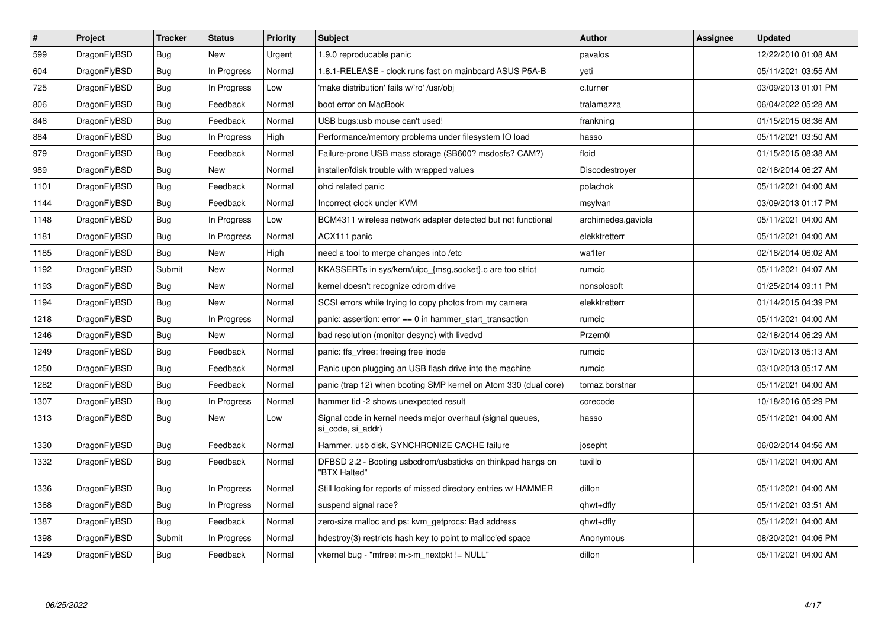| $\pmb{\#}$ | Project      | <b>Tracker</b> | <b>Status</b> | <b>Priority</b> | <b>Subject</b>                                                                  | <b>Author</b>      | Assignee | Updated             |
|------------|--------------|----------------|---------------|-----------------|---------------------------------------------------------------------------------|--------------------|----------|---------------------|
| 599        | DragonFlyBSD | <b>Bug</b>     | <b>New</b>    | Urgent          | 1.9.0 reproducable panic                                                        | pavalos            |          | 12/22/2010 01:08 AM |
| 604        | DragonFlyBSD | Bug            | In Progress   | Normal          | 1.8.1-RELEASE - clock runs fast on mainboard ASUS P5A-B                         | veti               |          | 05/11/2021 03:55 AM |
| 725        | DragonFlyBSD | Bug            | In Progress   | Low             | 'make distribution' fails w/'ro' /usr/obj                                       | c.turner           |          | 03/09/2013 01:01 PM |
| 806        | DragonFlyBSD | Bug            | Feedback      | Normal          | boot error on MacBook                                                           | tralamazza         |          | 06/04/2022 05:28 AM |
| 846        | DragonFlyBSD | Bug            | Feedback      | Normal          | USB bugs:usb mouse can't used!                                                  | frankning          |          | 01/15/2015 08:36 AM |
| 884        | DragonFlyBSD | Bug            | In Progress   | High            | Performance/memory problems under filesystem IO load                            | hasso              |          | 05/11/2021 03:50 AM |
| 979        | DragonFlyBSD | <b>Bug</b>     | Feedback      | Normal          | Failure-prone USB mass storage (SB600? msdosfs? CAM?)                           | floid              |          | 01/15/2015 08:38 AM |
| 989        | DragonFlyBSD | <b>Bug</b>     | <b>New</b>    | Normal          | installer/fdisk trouble with wrapped values                                     | Discodestroyer     |          | 02/18/2014 06:27 AM |
| 1101       | DragonFlyBSD | Bug            | Feedback      | Normal          | ohci related panic                                                              | polachok           |          | 05/11/2021 04:00 AM |
| 1144       | DragonFlyBSD | Bug            | Feedback      | Normal          | Incorrect clock under KVM                                                       | msylvan            |          | 03/09/2013 01:17 PM |
| 1148       | DragonFlyBSD | Bug            | In Progress   | Low             | BCM4311 wireless network adapter detected but not functional                    | archimedes.gaviola |          | 05/11/2021 04:00 AM |
| 1181       | DragonFlyBSD | Bug            | In Progress   | Normal          | ACX111 panic                                                                    | elekktretterr      |          | 05/11/2021 04:00 AM |
| 1185       | DragonFlyBSD | <b>Bug</b>     | <b>New</b>    | High            | need a tool to merge changes into /etc                                          | wa1ter             |          | 02/18/2014 06:02 AM |
| 1192       | DragonFlyBSD | Submit         | <b>New</b>    | Normal          | KKASSERTs in sys/kern/uipc {msg,socket}.c are too strict                        | rumcic             |          | 05/11/2021 04:07 AM |
| 1193       | DragonFlyBSD | Bug            | <b>New</b>    | Normal          | kernel doesn't recognize cdrom drive                                            | nonsolosoft        |          | 01/25/2014 09:11 PM |
| 1194       | DragonFlyBSD | Bug            | New           | Normal          | SCSI errors while trying to copy photos from my camera                          | elekktretterr      |          | 01/14/2015 04:39 PM |
| 1218       | DragonFlyBSD | Bug            | In Progress   | Normal          | panic: assertion: $error == 0$ in hammer start transaction                      | rumcic             |          | 05/11/2021 04:00 AM |
| 1246       | DragonFlyBSD | <b>Bug</b>     | New           | Normal          | bad resolution (monitor desync) with livedvd                                    | Przem0l            |          | 02/18/2014 06:29 AM |
| 1249       | DragonFlyBSD | Bug            | Feedback      | Normal          | panic: ffs_vfree: freeing free inode                                            | rumcic             |          | 03/10/2013 05:13 AM |
| 1250       | DragonFlyBSD | <b>Bug</b>     | Feedback      | Normal          | Panic upon plugging an USB flash drive into the machine                         | rumcic             |          | 03/10/2013 05:17 AM |
| 1282       | DragonFlyBSD | Bug            | Feedback      | Normal          | panic (trap 12) when booting SMP kernel on Atom 330 (dual core)                 | tomaz.borstnar     |          | 05/11/2021 04:00 AM |
| 1307       | DragonFlyBSD | Bug            | In Progress   | Normal          | hammer tid -2 shows unexpected result                                           | corecode           |          | 10/18/2016 05:29 PM |
| 1313       | DragonFlyBSD | Bug            | New           | Low             | Signal code in kernel needs major overhaul (signal queues,<br>si code, si addr) | hasso              |          | 05/11/2021 04:00 AM |
| 1330       | DragonFlyBSD | Bug            | Feedback      | Normal          | Hammer, usb disk, SYNCHRONIZE CACHE failure                                     | josepht            |          | 06/02/2014 04:56 AM |
| 1332       | DragonFlyBSD | <b>Bug</b>     | Feedback      | Normal          | DFBSD 2.2 - Booting usbcdrom/usbsticks on thinkpad hangs on<br>"BTX Halted"     | tuxillo            |          | 05/11/2021 04:00 AM |
| 1336       | DragonFlyBSD | Bug            | In Progress   | Normal          | Still looking for reports of missed directory entries w/ HAMMER                 | dillon             |          | 05/11/2021 04:00 AM |
| 1368       | DragonFlyBSD | <b>Bug</b>     | In Progress   | Normal          | suspend signal race?                                                            | qhwt+dfly          |          | 05/11/2021 03:51 AM |
| 1387       | DragonFlyBSD | Bug            | Feedback      | Normal          | zero-size malloc and ps: kvm getprocs: Bad address                              | qhwt+dfly          |          | 05/11/2021 04:00 AM |
| 1398       | DragonFlyBSD | Submit         | In Progress   | Normal          | hdestroy(3) restricts hash key to point to malloc'ed space                      | Anonymous          |          | 08/20/2021 04:06 PM |
| 1429       | DragonFlyBSD | Bug            | Feedback      | Normal          | vkernel bug - "mfree: m->m_nextpkt != NULL"                                     | dillon             |          | 05/11/2021 04:00 AM |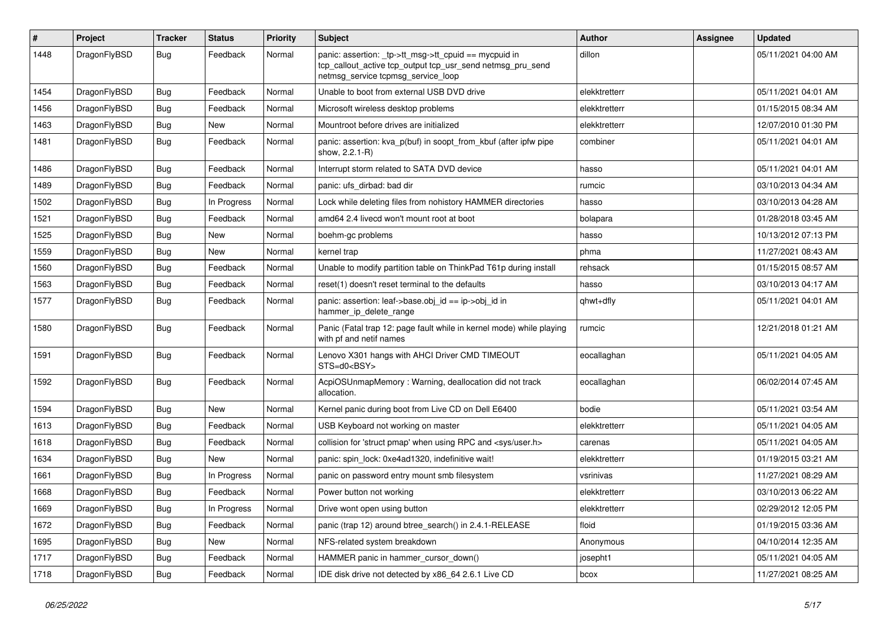| $\pmb{\#}$ | Project      | <b>Tracker</b> | <b>Status</b> | <b>Priority</b> | Subject                                                                                                                                                   | Author        | Assignee | <b>Updated</b>      |
|------------|--------------|----------------|---------------|-----------------|-----------------------------------------------------------------------------------------------------------------------------------------------------------|---------------|----------|---------------------|
| 1448       | DragonFlyBSD | Bug            | Feedback      | Normal          | panic: assertion: _tp->tt_msg->tt_cpuid == mycpuid in<br>tcp_callout_active tcp_output tcp_usr_send netmsg_pru_send<br>netmsg_service tcpmsg_service_loop | dillon        |          | 05/11/2021 04:00 AM |
| 1454       | DragonFlyBSD | <b>Bug</b>     | Feedback      | Normal          | Unable to boot from external USB DVD drive                                                                                                                | elekktretterr |          | 05/11/2021 04:01 AM |
| 1456       | DragonFlyBSD | <b>Bug</b>     | Feedback      | Normal          | Microsoft wireless desktop problems                                                                                                                       | elekktretterr |          | 01/15/2015 08:34 AM |
| 1463       | DragonFlyBSD | <b>Bug</b>     | New           | Normal          | Mountroot before drives are initialized                                                                                                                   | elekktretterr |          | 12/07/2010 01:30 PM |
| 1481       | DragonFlyBSD | Bug            | Feedback      | Normal          | panic: assertion: kva_p(buf) in soopt_from_kbuf (after ipfw pipe<br>show, 2.2.1-R)                                                                        | combiner      |          | 05/11/2021 04:01 AM |
| 1486       | DragonFlyBSD | <b>Bug</b>     | Feedback      | Normal          | Interrupt storm related to SATA DVD device                                                                                                                | hasso         |          | 05/11/2021 04:01 AM |
| 1489       | DragonFlyBSD | Bug            | Feedback      | Normal          | panic: ufs dirbad: bad dir                                                                                                                                | rumcic        |          | 03/10/2013 04:34 AM |
| 1502       | DragonFlyBSD | <b>Bug</b>     | In Progress   | Normal          | Lock while deleting files from nohistory HAMMER directories                                                                                               | hasso         |          | 03/10/2013 04:28 AM |
| 1521       | DragonFlyBSD | Bug            | Feedback      | Normal          | amd64 2.4 livecd won't mount root at boot                                                                                                                 | bolapara      |          | 01/28/2018 03:45 AM |
| 1525       | DragonFlyBSD | <b>Bug</b>     | <b>New</b>    | Normal          | boehm-gc problems                                                                                                                                         | hasso         |          | 10/13/2012 07:13 PM |
| 1559       | DragonFlyBSD | <b>Bug</b>     | New           | Normal          | kernel trap                                                                                                                                               | phma          |          | 11/27/2021 08:43 AM |
| 1560       | DragonFlyBSD | <b>Bug</b>     | Feedback      | Normal          | Unable to modify partition table on ThinkPad T61p during install                                                                                          | rehsack       |          | 01/15/2015 08:57 AM |
| 1563       | DragonFlyBSD | <b>Bug</b>     | Feedback      | Normal          | reset(1) doesn't reset terminal to the defaults                                                                                                           | hasso         |          | 03/10/2013 04:17 AM |
| 1577       | DragonFlyBSD | Bug            | Feedback      | Normal          | panic: assertion: leaf->base.obj id == ip->obj id in<br>hammer_ip_delete_range                                                                            | qhwt+dfly     |          | 05/11/2021 04:01 AM |
| 1580       | DragonFlyBSD | Bug            | Feedback      | Normal          | Panic (Fatal trap 12: page fault while in kernel mode) while playing<br>with pf and netif names                                                           | rumcic        |          | 12/21/2018 01:21 AM |
| 1591       | DragonFlyBSD | <b>Bug</b>     | Feedback      | Normal          | Lenovo X301 hangs with AHCI Driver CMD TIMEOUT<br>STS=d0 <bsy></bsy>                                                                                      | eocallaghan   |          | 05/11/2021 04:05 AM |
| 1592       | DragonFlyBSD | Bug            | Feedback      | Normal          | AcpiOSUnmapMemory: Warning, deallocation did not track<br>allocation.                                                                                     | eocallaghan   |          | 06/02/2014 07:45 AM |
| 1594       | DragonFlyBSD | <b>Bug</b>     | <b>New</b>    | Normal          | Kernel panic during boot from Live CD on Dell E6400                                                                                                       | bodie         |          | 05/11/2021 03:54 AM |
| 1613       | DragonFlyBSD | <b>Bug</b>     | Feedback      | Normal          | USB Keyboard not working on master                                                                                                                        | elekktretterr |          | 05/11/2021 04:05 AM |
| 1618       | DragonFlyBSD | <b>Bug</b>     | Feedback      | Normal          | collision for 'struct pmap' when using RPC and <sys user.h=""></sys>                                                                                      | carenas       |          | 05/11/2021 04:05 AM |
| 1634       | DragonFlyBSD | <b>Bug</b>     | New           | Normal          | panic: spin lock: 0xe4ad1320, indefinitive wait!                                                                                                          | elekktretterr |          | 01/19/2015 03:21 AM |
| 1661       | DragonFlyBSD | <b>Bug</b>     | In Progress   | Normal          | panic on password entry mount smb filesystem                                                                                                              | vsrinivas     |          | 11/27/2021 08:29 AM |
| 1668       | DragonFlyBSD | <b>Bug</b>     | Feedback      | Normal          | Power button not working                                                                                                                                  | elekktretterr |          | 03/10/2013 06:22 AM |
| 1669       | DragonFlyBSD | Bug            | In Progress   | Normal          | Drive wont open using button                                                                                                                              | elekktretterr |          | 02/29/2012 12:05 PM |
| 1672       | DragonFlyBSD | Bug            | Feedback      | Normal          | panic (trap 12) around btree_search() in 2.4.1-RELEASE                                                                                                    | floid         |          | 01/19/2015 03:36 AM |
| 1695       | DragonFlyBSD | <b>Bug</b>     | New           | Normal          | NFS-related system breakdown                                                                                                                              | Anonymous     |          | 04/10/2014 12:35 AM |
| 1717       | DragonFlyBSD | <b>Bug</b>     | Feedback      | Normal          | HAMMER panic in hammer_cursor_down()                                                                                                                      | josepht1      |          | 05/11/2021 04:05 AM |
| 1718       | DragonFlyBSD | Bug            | Feedback      | Normal          | IDE disk drive not detected by x86_64 2.6.1 Live CD                                                                                                       | bcox          |          | 11/27/2021 08:25 AM |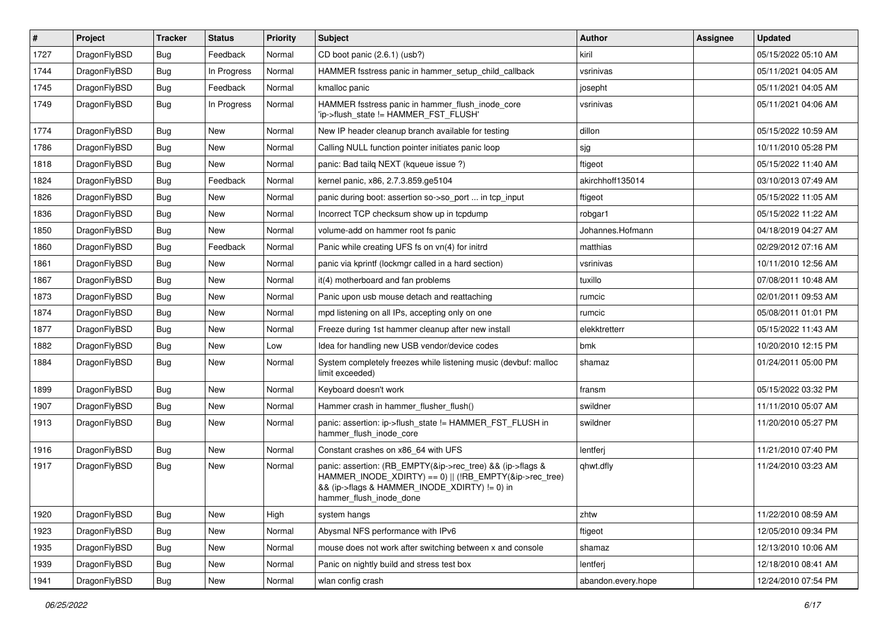| #    | Project      | <b>Tracker</b> | <b>Status</b> | <b>Priority</b> | <b>Subject</b>                                                                                                                                                                                    | Author             | Assignee | <b>Updated</b>      |
|------|--------------|----------------|---------------|-----------------|---------------------------------------------------------------------------------------------------------------------------------------------------------------------------------------------------|--------------------|----------|---------------------|
| 1727 | DragonFlyBSD | <b>Bug</b>     | Feedback      | Normal          | CD boot panic (2.6.1) (usb?)                                                                                                                                                                      | kiril              |          | 05/15/2022 05:10 AM |
| 1744 | DragonFlyBSD | <b>Bug</b>     | In Progress   | Normal          | HAMMER fsstress panic in hammer setup child callback                                                                                                                                              | vsrinivas          |          | 05/11/2021 04:05 AM |
| 1745 | DragonFlyBSD | <b>Bug</b>     | Feedback      | Normal          | kmalloc panic                                                                                                                                                                                     | josepht            |          | 05/11/2021 04:05 AM |
| 1749 | DragonFlyBSD | <b>Bug</b>     | In Progress   | Normal          | HAMMER fsstress panic in hammer flush inode core<br>'ip->flush_state != HAMMER_FST_FLUSH'                                                                                                         | vsrinivas          |          | 05/11/2021 04:06 AM |
| 1774 | DragonFlyBSD | <b>Bug</b>     | New           | Normal          | New IP header cleanup branch available for testing                                                                                                                                                | dillon             |          | 05/15/2022 10:59 AM |
| 1786 | DragonFlyBSD | <b>Bug</b>     | New           | Normal          | Calling NULL function pointer initiates panic loop                                                                                                                                                | sjg                |          | 10/11/2010 05:28 PM |
| 1818 | DragonFlyBSD | Bug            | New           | Normal          | panic: Bad tailq NEXT (kqueue issue ?)                                                                                                                                                            | ftigeot            |          | 05/15/2022 11:40 AM |
| 1824 | DragonFlyBSD | Bug            | Feedback      | Normal          | kernel panic, x86, 2.7.3.859.ge5104                                                                                                                                                               | akirchhoff135014   |          | 03/10/2013 07:49 AM |
| 1826 | DragonFlyBSD | <b>Bug</b>     | New           | Normal          | panic during boot: assertion so->so_port  in tcp_input                                                                                                                                            | ftigeot            |          | 05/15/2022 11:05 AM |
| 1836 | DragonFlyBSD | <b>Bug</b>     | New           | Normal          | Incorrect TCP checksum show up in tcpdump                                                                                                                                                         | robgar1            |          | 05/15/2022 11:22 AM |
| 1850 | DragonFlyBSD | <b>Bug</b>     | New           | Normal          | volume-add on hammer root fs panic                                                                                                                                                                | Johannes.Hofmann   |          | 04/18/2019 04:27 AM |
| 1860 | DragonFlyBSD | Bug            | Feedback      | Normal          | Panic while creating UFS fs on vn(4) for initrd                                                                                                                                                   | matthias           |          | 02/29/2012 07:16 AM |
| 1861 | DragonFlyBSD | <b>Bug</b>     | New           | Normal          | panic via kprintf (lockmgr called in a hard section)                                                                                                                                              | vsrinivas          |          | 10/11/2010 12:56 AM |
| 1867 | DragonFlyBSD | <b>Bug</b>     | New           | Normal          | it(4) motherboard and fan problems                                                                                                                                                                | tuxillo            |          | 07/08/2011 10:48 AM |
| 1873 | DragonFlyBSD | <b>Bug</b>     | New           | Normal          | Panic upon usb mouse detach and reattaching                                                                                                                                                       | rumcic             |          | 02/01/2011 09:53 AM |
| 1874 | DragonFlyBSD | <b>Bug</b>     | New           | Normal          | mpd listening on all IPs, accepting only on one                                                                                                                                                   | rumcic             |          | 05/08/2011 01:01 PM |
| 1877 | DragonFlyBSD | Bug            | New           | Normal          | Freeze during 1st hammer cleanup after new install                                                                                                                                                | elekktretterr      |          | 05/15/2022 11:43 AM |
| 1882 | DragonFlyBSD | <b>Bug</b>     | New           | Low             | Idea for handling new USB vendor/device codes                                                                                                                                                     | bmk                |          | 10/20/2010 12:15 PM |
| 1884 | DragonFlyBSD | <b>Bug</b>     | New           | Normal          | System completely freezes while listening music (devbuf: malloc<br>limit exceeded)                                                                                                                | shamaz             |          | 01/24/2011 05:00 PM |
| 1899 | DragonFlyBSD | <b>Bug</b>     | New           | Normal          | Keyboard doesn't work                                                                                                                                                                             | fransm             |          | 05/15/2022 03:32 PM |
| 1907 | DragonFlyBSD | <b>Bug</b>     | New           | Normal          | Hammer crash in hammer_flusher_flush()                                                                                                                                                            | swildner           |          | 11/11/2010 05:07 AM |
| 1913 | DragonFlyBSD | Bug            | New           | Normal          | panic: assertion: ip->flush_state != HAMMER_FST_FLUSH in<br>hammer_flush_inode_core                                                                                                               | swildner           |          | 11/20/2010 05:27 PM |
| 1916 | DragonFlyBSD | <b>Bug</b>     | New           | Normal          | Constant crashes on x86_64 with UFS                                                                                                                                                               | lentferj           |          | 11/21/2010 07:40 PM |
| 1917 | DragonFlyBSD | <b>Bug</b>     | New           | Normal          | panic: assertion: (RB_EMPTY(&ip->rec_tree) && (ip->flags &<br>HAMMER_INODE_XDIRTY) == 0)    (!RB_EMPTY(&ip->rec_tree)<br>&& (ip->flags & HAMMER_INODE_XDIRTY) != 0) in<br>hammer flush inode done | qhwt.dfly          |          | 11/24/2010 03:23 AM |
| 1920 | DragonFlyBSD | <b>Bug</b>     | New           | High            | system hangs                                                                                                                                                                                      | zhtw               |          | 11/22/2010 08:59 AM |
| 1923 | DragonFlyBSD | <b>Bug</b>     | New           | Normal          | Abysmal NFS performance with IPv6                                                                                                                                                                 | ftigeot            |          | 12/05/2010 09:34 PM |
| 1935 | DragonFlyBSD | Bug            | New           | Normal          | mouse does not work after switching between x and console                                                                                                                                         | shamaz             |          | 12/13/2010 10:06 AM |
| 1939 | DragonFlyBSD | <b>Bug</b>     | New           | Normal          | Panic on nightly build and stress test box                                                                                                                                                        | lentferj           |          | 12/18/2010 08:41 AM |
| 1941 | DragonFlyBSD | Bug            | New           | Normal          | wlan config crash                                                                                                                                                                                 | abandon.every.hope |          | 12/24/2010 07:54 PM |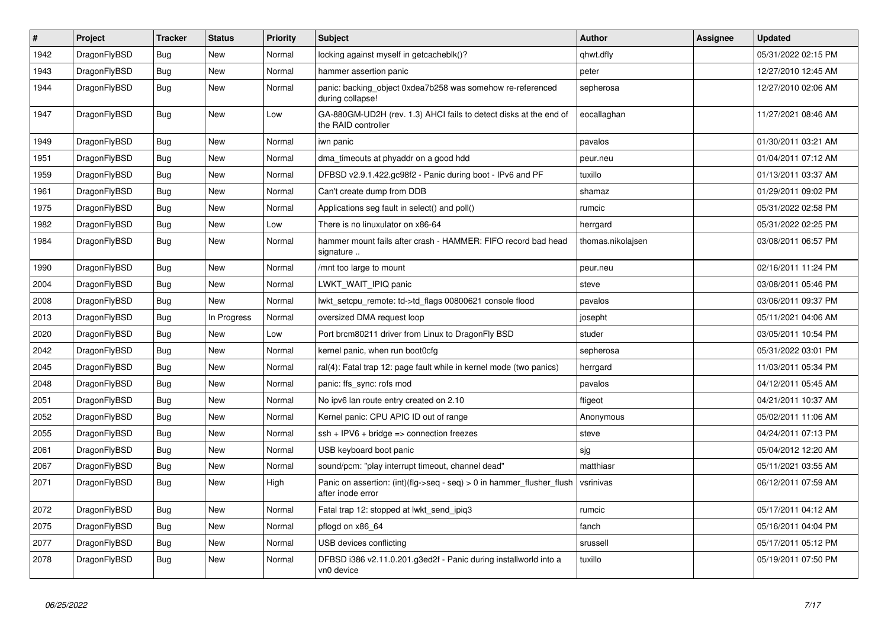| $\vert$ # | Project      | <b>Tracker</b> | <b>Status</b> | <b>Priority</b> | <b>Subject</b>                                                                             | <b>Author</b>     | Assignee | Updated             |
|-----------|--------------|----------------|---------------|-----------------|--------------------------------------------------------------------------------------------|-------------------|----------|---------------------|
| 1942      | DragonFlyBSD | Bug            | New           | Normal          | locking against myself in getcacheblk()?                                                   | qhwt.dfly         |          | 05/31/2022 02:15 PM |
| 1943      | DragonFlyBSD | <b>Bug</b>     | New           | Normal          | hammer assertion panic                                                                     | peter             |          | 12/27/2010 12:45 AM |
| 1944      | DragonFlyBSD | <b>Bug</b>     | New           | Normal          | panic: backing object 0xdea7b258 was somehow re-referenced<br>during collapse!             | sepherosa         |          | 12/27/2010 02:06 AM |
| 1947      | DragonFlyBSD | <b>Bug</b>     | <b>New</b>    | Low             | GA-880GM-UD2H (rev. 1.3) AHCI fails to detect disks at the end of<br>the RAID controller   | eocallaghan       |          | 11/27/2021 08:46 AM |
| 1949      | DragonFlyBSD | <b>Bug</b>     | <b>New</b>    | Normal          | iwn panic                                                                                  | pavalos           |          | 01/30/2011 03:21 AM |
| 1951      | DragonFlyBSD | <b>Bug</b>     | New           | Normal          | dma timeouts at phyaddr on a good hdd                                                      | peur.neu          |          | 01/04/2011 07:12 AM |
| 1959      | DragonFlyBSD | <b>Bug</b>     | <b>New</b>    | Normal          | DFBSD v2.9.1.422.gc98f2 - Panic during boot - IPv6 and PF                                  | tuxillo           |          | 01/13/2011 03:37 AM |
| 1961      | DragonFlyBSD | <b>Bug</b>     | <b>New</b>    | Normal          | Can't create dump from DDB                                                                 | shamaz            |          | 01/29/2011 09:02 PM |
| 1975      | DragonFlyBSD | Bug            | <b>New</b>    | Normal          | Applications seg fault in select() and poll()                                              | rumcic            |          | 05/31/2022 02:58 PM |
| 1982      | DragonFlyBSD | <b>Bug</b>     | New           | Low             | There is no linuxulator on x86-64                                                          | herrgard          |          | 05/31/2022 02:25 PM |
| 1984      | DragonFlyBSD | <b>Bug</b>     | New           | Normal          | hammer mount fails after crash - HAMMER: FIFO record bad head<br>signature                 | thomas.nikolajsen |          | 03/08/2011 06:57 PM |
| 1990      | DragonFlyBSD | <b>Bug</b>     | New           | Normal          | /mnt too large to mount                                                                    | peur.neu          |          | 02/16/2011 11:24 PM |
| 2004      | DragonFlyBSD | Bug            | New           | Normal          | LWKT WAIT IPIQ panic                                                                       | steve             |          | 03/08/2011 05:46 PM |
| 2008      | DragonFlyBSD | Bug            | New           | Normal          | lwkt setcpu remote: td->td flags 00800621 console flood                                    | pavalos           |          | 03/06/2011 09:37 PM |
| 2013      | DragonFlyBSD | Bug            | In Progress   | Normal          | oversized DMA request loop                                                                 | josepht           |          | 05/11/2021 04:06 AM |
| 2020      | DragonFlyBSD | Bug            | New           | Low             | Port brcm80211 driver from Linux to DragonFly BSD                                          | studer            |          | 03/05/2011 10:54 PM |
| 2042      | DragonFlyBSD | <b>Bug</b>     | New           | Normal          | kernel panic, when run boot0cfg                                                            | sepherosa         |          | 05/31/2022 03:01 PM |
| 2045      | DragonFlyBSD | <b>Bug</b>     | <b>New</b>    | Normal          | ral(4): Fatal trap 12: page fault while in kernel mode (two panics)                        | herrgard          |          | 11/03/2011 05:34 PM |
| 2048      | DragonFlyBSD | Bug            | <b>New</b>    | Normal          | panic: ffs_sync: rofs mod                                                                  | pavalos           |          | 04/12/2011 05:45 AM |
| 2051      | DragonFlyBSD | <b>Bug</b>     | New           | Normal          | No ipv6 lan route entry created on 2.10                                                    | ftigeot           |          | 04/21/2011 10:37 AM |
| 2052      | DragonFlyBSD | Bug            | New           | Normal          | Kernel panic: CPU APIC ID out of range                                                     | Anonymous         |          | 05/02/2011 11:06 AM |
| 2055      | DragonFlyBSD | Bug            | New           | Normal          | $ssh + IPV6 + bridge \Rightarrow$ connection freezes                                       | steve             |          | 04/24/2011 07:13 PM |
| 2061      | DragonFlyBSD | <b>Bug</b>     | New           | Normal          | USB keyboard boot panic                                                                    | sjg               |          | 05/04/2012 12:20 AM |
| 2067      | DragonFlyBSD | <b>Bug</b>     | New           | Normal          | sound/pcm: "play interrupt timeout, channel dead"                                          | matthiasr         |          | 05/11/2021 03:55 AM |
| 2071      | DragonFlyBSD | <b>Bug</b>     | New           | High            | Panic on assertion: (int)(flg->seq - seq) > 0 in hammer_flusher_flush<br>after inode error | vsrinivas         |          | 06/12/2011 07:59 AM |
| 2072      | DragonFlyBSD | <b>Bug</b>     | <b>New</b>    | Normal          | Fatal trap 12: stopped at lwkt_send_ipiq3                                                  | rumcic            |          | 05/17/2011 04:12 AM |
| 2075      | DragonFlyBSD | <b>Bug</b>     | New           | Normal          | pflogd on x86 64                                                                           | fanch             |          | 05/16/2011 04:04 PM |
| 2077      | DragonFlyBSD | <b>Bug</b>     | <b>New</b>    | Normal          | USB devices conflicting                                                                    | srussell          |          | 05/17/2011 05:12 PM |
| 2078      | DragonFlyBSD | <b>Bug</b>     | <b>New</b>    | Normal          | DFBSD i386 v2.11.0.201.g3ed2f - Panic during installworld into a<br>vn0 device             | tuxillo           |          | 05/19/2011 07:50 PM |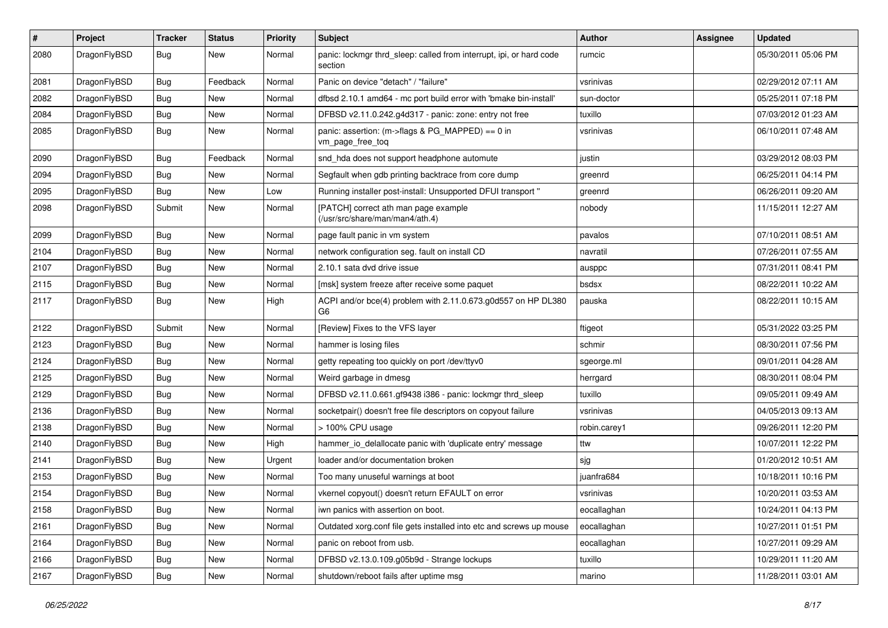| #    | Project      | <b>Tracker</b> | <b>Status</b> | <b>Priority</b> | <b>Subject</b>                                                                  | Author       | Assignee | <b>Updated</b>      |
|------|--------------|----------------|---------------|-----------------|---------------------------------------------------------------------------------|--------------|----------|---------------------|
| 2080 | DragonFlyBSD | Bug            | New           | Normal          | panic: lockmgr thrd_sleep: called from interrupt, ipi, or hard code<br>section  | rumcic       |          | 05/30/2011 05:06 PM |
| 2081 | DragonFlyBSD | <b>Bug</b>     | Feedback      | Normal          | Panic on device "detach" / "failure"                                            | vsrinivas    |          | 02/29/2012 07:11 AM |
| 2082 | DragonFlyBSD | <b>Bug</b>     | <b>New</b>    | Normal          | dfbsd 2.10.1 amd64 - mc port build error with 'bmake bin-install'               | sun-doctor   |          | 05/25/2011 07:18 PM |
| 2084 | DragonFlyBSD | <b>Bug</b>     | New           | Normal          | DFBSD v2.11.0.242.g4d317 - panic: zone: entry not free                          | tuxillo      |          | 07/03/2012 01:23 AM |
| 2085 | DragonFlyBSD | <b>Bug</b>     | <b>New</b>    | Normal          | panic: assertion: (m->flags & PG_MAPPED) == 0 in<br>vm_page_free_toq            | vsrinivas    |          | 06/10/2011 07:48 AM |
| 2090 | DragonFlyBSD | <b>Bug</b>     | Feedback      | Normal          | snd hda does not support headphone automute                                     | justin       |          | 03/29/2012 08:03 PM |
| 2094 | DragonFlyBSD | <b>Bug</b>     | New           | Normal          | Segfault when gdb printing backtrace from core dump                             | greenrd      |          | 06/25/2011 04:14 PM |
| 2095 | DragonFlyBSD | <b>Bug</b>     | <b>New</b>    | Low             | Running installer post-install: Unsupported DFUI transport "                    | greenrd      |          | 06/26/2011 09:20 AM |
| 2098 | DragonFlyBSD | Submit         | New           | Normal          | [PATCH] correct ath man page example<br>(/usr/src/share/man/man4/ath.4)         | nobody       |          | 11/15/2011 12:27 AM |
| 2099 | DragonFlyBSD | <b>Bug</b>     | <b>New</b>    | Normal          | page fault panic in vm system                                                   | pavalos      |          | 07/10/2011 08:51 AM |
| 2104 | DragonFlyBSD | <b>Bug</b>     | <b>New</b>    | Normal          | network configuration seg. fault on install CD                                  | navratil     |          | 07/26/2011 07:55 AM |
| 2107 | DragonFlyBSD | Bug            | New           | Normal          | 2.10.1 sata dvd drive issue                                                     | ausppc       |          | 07/31/2011 08:41 PM |
| 2115 | DragonFlyBSD | Bug            | <b>New</b>    | Normal          | [msk] system freeze after receive some paquet                                   | bsdsx        |          | 08/22/2011 10:22 AM |
| 2117 | DragonFlyBSD | Bug            | New           | High            | ACPI and/or bce(4) problem with 2.11.0.673.g0d557 on HP DL380<br>G <sub>6</sub> | pauska       |          | 08/22/2011 10:15 AM |
| 2122 | DragonFlyBSD | Submit         | <b>New</b>    | Normal          | [Review] Fixes to the VFS layer                                                 | ftigeot      |          | 05/31/2022 03:25 PM |
| 2123 | DragonFlyBSD | Bug            | New           | Normal          | hammer is losing files                                                          | schmir       |          | 08/30/2011 07:56 PM |
| 2124 | DragonFlyBSD | Bug            | New           | Normal          | getty repeating too quickly on port /dev/ttyv0                                  | sgeorge.ml   |          | 09/01/2011 04:28 AM |
| 2125 | DragonFlyBSD | Bug            | <b>New</b>    | Normal          | Weird garbage in dmesg                                                          | herrgard     |          | 08/30/2011 08:04 PM |
| 2129 | DragonFlyBSD | Bug            | New           | Normal          | DFBSD v2.11.0.661.gf9438 i386 - panic: lockmgr thrd_sleep                       | tuxillo      |          | 09/05/2011 09:49 AM |
| 2136 | DragonFlyBSD | <b>Bug</b>     | <b>New</b>    | Normal          | socketpair() doesn't free file descriptors on copyout failure                   | vsrinivas    |          | 04/05/2013 09:13 AM |
| 2138 | DragonFlyBSD | Bug            | New           | Normal          | > 100% CPU usage                                                                | robin.carey1 |          | 09/26/2011 12:20 PM |
| 2140 | DragonFlyBSD | Bug            | New           | High            | hammer_io_delallocate panic with 'duplicate entry' message                      | ttw          |          | 10/07/2011 12:22 PM |
| 2141 | DragonFlyBSD | <b>Bug</b>     | <b>New</b>    | Urgent          | loader and/or documentation broken                                              | sjg          |          | 01/20/2012 10:51 AM |
| 2153 | DragonFlyBSD | Bug            | New           | Normal          | Too many unuseful warnings at boot                                              | juanfra684   |          | 10/18/2011 10:16 PM |
| 2154 | DragonFlyBSD | <b>Bug</b>     | New           | Normal          | vkernel copyout() doesn't return EFAULT on error                                | vsrinivas    |          | 10/20/2011 03:53 AM |
| 2158 | DragonFlyBSD | <b>Bug</b>     | New           | Normal          | iwn panics with assertion on boot.                                              | eocallaghan  |          | 10/24/2011 04:13 PM |
| 2161 | DragonFlyBSD | <b>Bug</b>     | <b>New</b>    | Normal          | Outdated xorg.conf file gets installed into etc and screws up mouse             | eocallaghan  |          | 10/27/2011 01:51 PM |
| 2164 | DragonFlyBSD | <b>Bug</b>     | New           | Normal          | panic on reboot from usb.                                                       | eocallaghan  |          | 10/27/2011 09:29 AM |
| 2166 | DragonFlyBSD | <b>Bug</b>     | New           | Normal          | DFBSD v2.13.0.109.g05b9d - Strange lockups                                      | tuxillo      |          | 10/29/2011 11:20 AM |
| 2167 | DragonFlyBSD | <b>Bug</b>     | New           | Normal          | shutdown/reboot fails after uptime msg                                          | marino       |          | 11/28/2011 03:01 AM |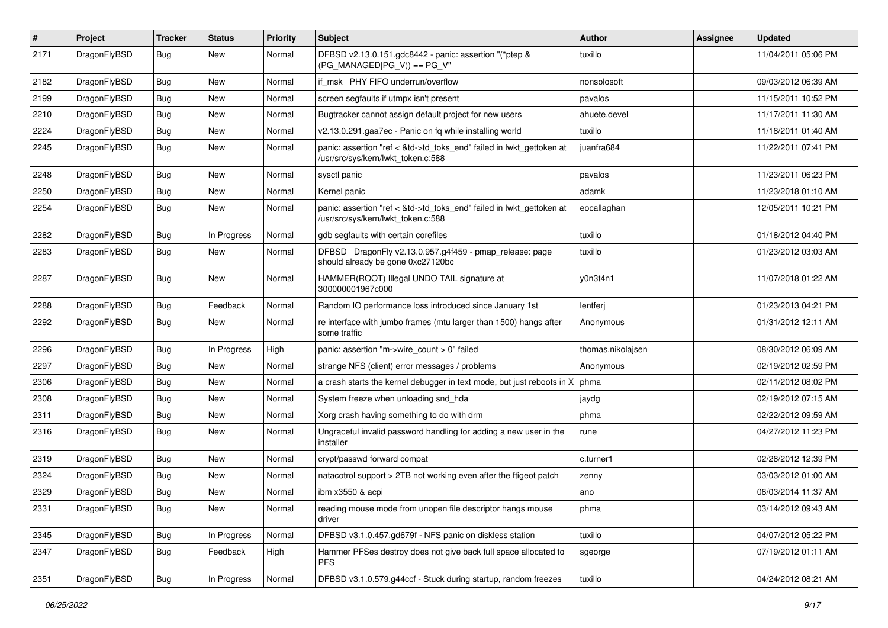| #    | Project      | <b>Tracker</b> | <b>Status</b> | <b>Priority</b> | <b>Subject</b>                                                                                             | Author            | Assignee | <b>Updated</b>      |
|------|--------------|----------------|---------------|-----------------|------------------------------------------------------------------------------------------------------------|-------------------|----------|---------------------|
| 2171 | DragonFlyBSD | Bug            | New           | Normal          | DFBSD v2.13.0.151.gdc8442 - panic: assertion "(*ptep &<br>$(PG_MANAGED PG_V)$ == PG_V"                     | tuxillo           |          | 11/04/2011 05:06 PM |
| 2182 | DragonFlyBSD | <b>Bug</b>     | <b>New</b>    | Normal          | if msk PHY FIFO underrun/overflow                                                                          | nonsolosoft       |          | 09/03/2012 06:39 AM |
| 2199 | DragonFlyBSD | Bug            | New           | Normal          | screen segfaults if utmpx isn't present                                                                    | pavalos           |          | 11/15/2011 10:52 PM |
| 2210 | DragonFlyBSD | <b>Bug</b>     | <b>New</b>    | Normal          | Bugtracker cannot assign default project for new users                                                     | ahuete.devel      |          | 11/17/2011 11:30 AM |
| 2224 | DragonFlyBSD | <b>Bug</b>     | New           | Normal          | v2.13.0.291.gaa7ec - Panic on fq while installing world                                                    | tuxillo           |          | 11/18/2011 01:40 AM |
| 2245 | DragonFlyBSD | Bug            | New           | Normal          | panic: assertion "ref < &td->td_toks_end" failed in lwkt_gettoken at<br>/usr/src/sys/kern/lwkt_token.c:588 | juanfra684        |          | 11/22/2011 07:41 PM |
| 2248 | DragonFlyBSD | Bug            | <b>New</b>    | Normal          | sysctl panic                                                                                               | pavalos           |          | 11/23/2011 06:23 PM |
| 2250 | DragonFlyBSD | <b>Bug</b>     | <b>New</b>    | Normal          | Kernel panic                                                                                               | adamk             |          | 11/23/2018 01:10 AM |
| 2254 | DragonFlyBSD | <b>Bug</b>     | <b>New</b>    | Normal          | panic: assertion "ref < &td->td_toks_end" failed in lwkt_gettoken at<br>/usr/src/sys/kern/lwkt_token.c:588 | eocallaghan       |          | 12/05/2011 10:21 PM |
| 2282 | DragonFlyBSD | <b>Bug</b>     | In Progress   | Normal          | gdb segfaults with certain corefiles                                                                       | tuxillo           |          | 01/18/2012 04:40 PM |
| 2283 | DragonFlyBSD | Bug            | New           | Normal          | DFBSD DragonFly v2.13.0.957.g4f459 - pmap_release: page<br>should already be gone 0xc27120bc               | tuxillo           |          | 01/23/2012 03:03 AM |
| 2287 | DragonFlyBSD | <b>Bug</b>     | New           | Normal          | HAMMER(ROOT) Illegal UNDO TAIL signature at<br>300000001967c000                                            | y0n3t4n1          |          | 11/07/2018 01:22 AM |
| 2288 | DragonFlyBSD | <b>Bug</b>     | Feedback      | Normal          | Random IO performance loss introduced since January 1st                                                    | lentferj          |          | 01/23/2013 04:21 PM |
| 2292 | DragonFlyBSD | <b>Bug</b>     | <b>New</b>    | Normal          | re interface with jumbo frames (mtu larger than 1500) hangs after<br>some traffic                          | Anonymous         |          | 01/31/2012 12:11 AM |
| 2296 | DragonFlyBSD | <b>Bug</b>     | In Progress   | High            | panic: assertion "m->wire count > 0" failed                                                                | thomas.nikolajsen |          | 08/30/2012 06:09 AM |
| 2297 | DragonFlyBSD | <b>Bug</b>     | New           | Normal          | strange NFS (client) error messages / problems                                                             | Anonymous         |          | 02/19/2012 02:59 PM |
| 2306 | DragonFlyBSD | Bug            | <b>New</b>    | Normal          | a crash starts the kernel debugger in text mode, but just reboots in X                                     | phma              |          | 02/11/2012 08:02 PM |
| 2308 | DragonFlyBSD | <b>Bug</b>     | New           | Normal          | System freeze when unloading snd_hda                                                                       | jaydg             |          | 02/19/2012 07:15 AM |
| 2311 | DragonFlyBSD | Bug            | <b>New</b>    | Normal          | Xorg crash having something to do with drm                                                                 | phma              |          | 02/22/2012 09:59 AM |
| 2316 | DragonFlyBSD | <b>Bug</b>     | New           | Normal          | Ungraceful invalid password handling for adding a new user in the<br>installer                             | rune              |          | 04/27/2012 11:23 PM |
| 2319 | DragonFlyBSD | <b>Bug</b>     | <b>New</b>    | Normal          | crypt/passwd forward compat                                                                                | c.turner1         |          | 02/28/2012 12:39 PM |
| 2324 | DragonFlyBSD | Bug            | <b>New</b>    | Normal          | natacotrol support > 2TB not working even after the ftigeot patch                                          | zenny             |          | 03/03/2012 01:00 AM |
| 2329 | DragonFlyBSD | <b>Bug</b>     | New           | Normal          | ibm x3550 & acpi                                                                                           | ano               |          | 06/03/2014 11:37 AM |
| 2331 | DragonFlyBSD | <b>Bug</b>     | New           | Normal          | reading mouse mode from unopen file descriptor hangs mouse<br>driver                                       | phma              |          | 03/14/2012 09:43 AM |
| 2345 | DragonFlyBSD | <b>Bug</b>     | In Progress   | Normal          | DFBSD v3.1.0.457.gd679f - NFS panic on diskless station                                                    | tuxillo           |          | 04/07/2012 05:22 PM |
| 2347 | DragonFlyBSD | Bug            | Feedback      | High            | Hammer PFSes destroy does not give back full space allocated to<br><b>PFS</b>                              | sgeorge           |          | 07/19/2012 01:11 AM |
| 2351 | DragonFlyBSD | Bug            | In Progress   | Normal          | DFBSD v3.1.0.579.g44ccf - Stuck during startup, random freezes                                             | tuxillo           |          | 04/24/2012 08:21 AM |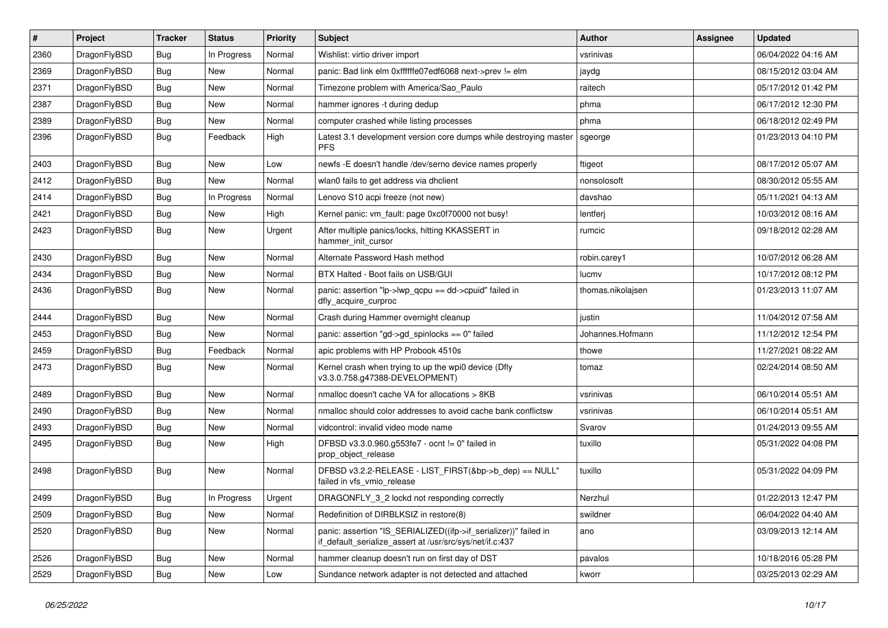| $\pmb{\#}$ | Project      | <b>Tracker</b> | <b>Status</b> | <b>Priority</b> | Subject                                                                                                                      | Author            | <b>Assignee</b> | <b>Updated</b>      |
|------------|--------------|----------------|---------------|-----------------|------------------------------------------------------------------------------------------------------------------------------|-------------------|-----------------|---------------------|
| 2360       | DragonFlyBSD | Bug            | In Progress   | Normal          | Wishlist: virtio driver import                                                                                               | vsrinivas         |                 | 06/04/2022 04:16 AM |
| 2369       | DragonFlyBSD | Bug            | New           | Normal          | panic: Bad link elm 0xffffffe07edf6068 next->prev != elm                                                                     | jaydg             |                 | 08/15/2012 03:04 AM |
| 2371       | DragonFlyBSD | <b>Bug</b>     | New           | Normal          | Timezone problem with America/Sao Paulo                                                                                      | raitech           |                 | 05/17/2012 01:42 PM |
| 2387       | DragonFlyBSD | Bug            | <b>New</b>    | Normal          | hammer ignores -t during dedup                                                                                               | phma              |                 | 06/17/2012 12:30 PM |
| 2389       | DragonFlyBSD | <b>Bug</b>     | New           | Normal          | computer crashed while listing processes                                                                                     | phma              |                 | 06/18/2012 02:49 PM |
| 2396       | DragonFlyBSD | Bug            | Feedback      | High            | Latest 3.1 development version core dumps while destroying master<br><b>PFS</b>                                              | sgeorge           |                 | 01/23/2013 04:10 PM |
| 2403       | DragonFlyBSD | Bug            | New           | Low             | newfs -E doesn't handle /dev/serno device names properly                                                                     | ftigeot           |                 | 08/17/2012 05:07 AM |
| 2412       | DragonFlyBSD | Bug            | New           | Normal          | wlan0 fails to get address via dhclient                                                                                      | nonsolosoft       |                 | 08/30/2012 05:55 AM |
| 2414       | DragonFlyBSD | Bug            | In Progress   | Normal          | Lenovo S10 acpi freeze (not new)                                                                                             | davshao           |                 | 05/11/2021 04:13 AM |
| 2421       | DragonFlyBSD | <b>Bug</b>     | New           | High            | Kernel panic: vm_fault: page 0xc0f70000 not busy!                                                                            | lentferj          |                 | 10/03/2012 08:16 AM |
| 2423       | DragonFlyBSD | Bug            | <b>New</b>    | Urgent          | After multiple panics/locks, hitting KKASSERT in<br>hammer init cursor                                                       | rumcic            |                 | 09/18/2012 02:28 AM |
| 2430       | DragonFlyBSD | Bug            | <b>New</b>    | Normal          | Alternate Password Hash method                                                                                               | robin.carey1      |                 | 10/07/2012 06:28 AM |
| 2434       | DragonFlyBSD | <b>Bug</b>     | New           | Normal          | BTX Halted - Boot fails on USB/GUI                                                                                           | lucmv             |                 | 10/17/2012 08:12 PM |
| 2436       | DragonFlyBSD | Bug            | New           | Normal          | panic: assertion "lp->lwp_qcpu == dd->cpuid" failed in<br>dfly_acquire_curproc                                               | thomas.nikolajsen |                 | 01/23/2013 11:07 AM |
| 2444       | DragonFlyBSD | Bug            | <b>New</b>    | Normal          | Crash during Hammer overnight cleanup                                                                                        | justin            |                 | 11/04/2012 07:58 AM |
| 2453       | DragonFlyBSD | <b>Bug</b>     | New           | Normal          | panic: assertion "gd->gd spinlocks == $0$ " failed                                                                           | Johannes.Hofmann  |                 | 11/12/2012 12:54 PM |
| 2459       | DragonFlyBSD | Bug            | Feedback      | Normal          | apic problems with HP Probook 4510s                                                                                          | thowe             |                 | 11/27/2021 08:22 AM |
| 2473       | DragonFlyBSD | Bug            | New           | Normal          | Kernel crash when trying to up the wpi0 device (Dfly<br>v3.3.0.758.g47388-DEVELOPMENT)                                       | tomaz             |                 | 02/24/2014 08:50 AM |
| 2489       | DragonFlyBSD | <b>Bug</b>     | <b>New</b>    | Normal          | nmalloc doesn't cache VA for allocations > 8KB                                                                               | vsrinivas         |                 | 06/10/2014 05:51 AM |
| 2490       | DragonFlyBSD | <b>Bug</b>     | <b>New</b>    | Normal          | nmalloc should color addresses to avoid cache bank conflictsw                                                                | vsrinivas         |                 | 06/10/2014 05:51 AM |
| 2493       | DragonFlyBSD | Bug            | <b>New</b>    | Normal          | vidcontrol: invalid video mode name                                                                                          | Svarov            |                 | 01/24/2013 09:55 AM |
| 2495       | DragonFlyBSD | <b>Bug</b>     | New           | High            | DFBSD v3.3.0.960.g553fe7 - ocnt != 0" failed in<br>prop_object_release                                                       | tuxillo           |                 | 05/31/2022 04:08 PM |
| 2498       | DragonFlyBSD | Bug            | New           | Normal          | DFBSD v3.2.2-RELEASE - LIST_FIRST(&bp->b_dep) == NULL"<br>failed in vfs_vmio_release                                         | tuxillo           |                 | 05/31/2022 04:09 PM |
| 2499       | DragonFlyBSD | Bug            | In Progress   | Urgent          | DRAGONFLY 3 2 lockd not responding correctly                                                                                 | Nerzhul           |                 | 01/22/2013 12:47 PM |
| 2509       | DragonFlyBSD | <b>Bug</b>     | New           | Normal          | Redefinition of DIRBLKSIZ in restore(8)                                                                                      | swildner          |                 | 06/04/2022 04:40 AM |
| 2520       | DragonFlyBSD | <b>Bug</b>     | New           | Normal          | panic: assertion "IS_SERIALIZED((ifp->if_serializer))" failed in<br>if_default_serialize_assert at /usr/src/sys/net/if.c:437 | ano               |                 | 03/09/2013 12:14 AM |
| 2526       | DragonFlyBSD | <b>Bug</b>     | New           | Normal          | hammer cleanup doesn't run on first day of DST                                                                               | pavalos           |                 | 10/18/2016 05:28 PM |
| 2529       | DragonFlyBSD | <b>Bug</b>     | New           | Low             | Sundance network adapter is not detected and attached                                                                        | kworr             |                 | 03/25/2013 02:29 AM |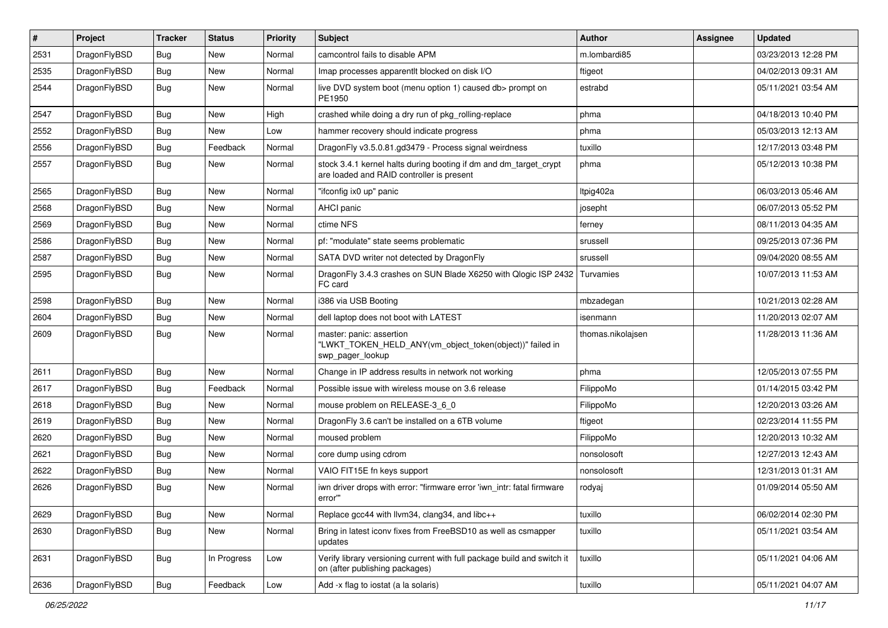| $\sharp$ | Project      | <b>Tracker</b> | <b>Status</b> | <b>Priority</b> | Subject                                                                                                        | Author            | Assignee | <b>Updated</b>      |
|----------|--------------|----------------|---------------|-----------------|----------------------------------------------------------------------------------------------------------------|-------------------|----------|---------------------|
| 2531     | DragonFlyBSD | Bug            | New           | Normal          | camcontrol fails to disable APM                                                                                | m.lombardi85      |          | 03/23/2013 12:28 PM |
| 2535     | DragonFlyBSD | Bug            | New           | Normal          | Imap processes apparentlt blocked on disk I/O                                                                  | ftigeot           |          | 04/02/2013 09:31 AM |
| 2544     | DragonFlyBSD | Bug            | <b>New</b>    | Normal          | live DVD system boot (menu option 1) caused db> prompt on<br>PE1950                                            | estrabd           |          | 05/11/2021 03:54 AM |
| 2547     | DragonFlyBSD | <b>Bug</b>     | <b>New</b>    | High            | crashed while doing a dry run of pkg_rolling-replace                                                           | phma              |          | 04/18/2013 10:40 PM |
| 2552     | DragonFlyBSD | <b>Bug</b>     | New           | Low             | hammer recovery should indicate progress                                                                       | phma              |          | 05/03/2013 12:13 AM |
| 2556     | DragonFlyBSD | <b>Bug</b>     | Feedback      | Normal          | DragonFly v3.5.0.81.gd3479 - Process signal weirdness                                                          | tuxillo           |          | 12/17/2013 03:48 PM |
| 2557     | DragonFlyBSD | <b>Bug</b>     | <b>New</b>    | Normal          | stock 3.4.1 kernel halts during booting if dm and dm_target_crypt<br>are loaded and RAID controller is present | phma              |          | 05/12/2013 10:38 PM |
| 2565     | DragonFlyBSD | <b>Bug</b>     | New           | Normal          | "ifconfig ix0 up" panic                                                                                        | ltpig402a         |          | 06/03/2013 05:46 AM |
| 2568     | DragonFlyBSD | <b>Bug</b>     | <b>New</b>    | Normal          | AHCI panic                                                                                                     | josepht           |          | 06/07/2013 05:52 PM |
| 2569     | DragonFlyBSD | <b>Bug</b>     | New           | Normal          | ctime NFS                                                                                                      | ferney            |          | 08/11/2013 04:35 AM |
| 2586     | DragonFlyBSD | <b>Bug</b>     | <b>New</b>    | Normal          | pf: "modulate" state seems problematic                                                                         | srussell          |          | 09/25/2013 07:36 PM |
| 2587     | DragonFlyBSD | <b>Bug</b>     | New           | Normal          | SATA DVD writer not detected by DragonFly                                                                      | srussell          |          | 09/04/2020 08:55 AM |
| 2595     | DragonFlyBSD | <b>Bug</b>     | New           | Normal          | DragonFly 3.4.3 crashes on SUN Blade X6250 with Qlogic ISP 2432<br>FC card                                     | Turvamies         |          | 10/07/2013 11:53 AM |
| 2598     | DragonFlyBSD | <b>Bug</b>     | <b>New</b>    | Normal          | i386 via USB Booting                                                                                           | mbzadegan         |          | 10/21/2013 02:28 AM |
| 2604     | DragonFlyBSD | <b>Bug</b>     | <b>New</b>    | Normal          | dell laptop does not boot with LATEST                                                                          | isenmann          |          | 11/20/2013 02:07 AM |
| 2609     | DragonFlyBSD | <b>Bug</b>     | <b>New</b>    | Normal          | master: panic: assertion<br>"LWKT_TOKEN_HELD_ANY(vm_object_token(object))" failed in<br>swp_pager_lookup       | thomas.nikolajsen |          | 11/28/2013 11:36 AM |
| 2611     | DragonFlyBSD | <b>Bug</b>     | New           | Normal          | Change in IP address results in network not working                                                            | phma              |          | 12/05/2013 07:55 PM |
| 2617     | DragonFlyBSD | <b>Bug</b>     | Feedback      | Normal          | Possible issue with wireless mouse on 3.6 release                                                              | FilippoMo         |          | 01/14/2015 03:42 PM |
| 2618     | DragonFlyBSD | <b>Bug</b>     | New           | Normal          | mouse problem on RELEASE-3 6 0                                                                                 | FilippoMo         |          | 12/20/2013 03:26 AM |
| 2619     | DragonFlyBSD | <b>Bug</b>     | <b>New</b>    | Normal          | DragonFly 3.6 can't be installed on a 6TB volume                                                               | ftigeot           |          | 02/23/2014 11:55 PM |
| 2620     | DragonFlyBSD | <b>Bug</b>     | <b>New</b>    | Normal          | moused problem                                                                                                 | FilippoMo         |          | 12/20/2013 10:32 AM |
| 2621     | DragonFlyBSD | <b>Bug</b>     | New           | Normal          | core dump using cdrom                                                                                          | nonsolosoft       |          | 12/27/2013 12:43 AM |
| 2622     | DragonFlyBSD | <b>Bug</b>     | <b>New</b>    | Normal          | VAIO FIT15E fn keys support                                                                                    | nonsolosoft       |          | 12/31/2013 01:31 AM |
| 2626     | DragonFlyBSD | <b>Bug</b>     | New           | Normal          | iwn driver drops with error: "firmware error 'iwn_intr: fatal firmware<br>error""                              | rodyaj            |          | 01/09/2014 05:50 AM |
| 2629     | DragonFlyBSD | <b>Bug</b>     | New           | Normal          | Replace gcc44 with llvm34, clang34, and libc++                                                                 | tuxillo           |          | 06/02/2014 02:30 PM |
| 2630     | DragonFlyBSD | <b>Bug</b>     | New           | Normal          | Bring in latest iconv fixes from FreeBSD10 as well as csmapper<br>updates                                      | tuxillo           |          | 05/11/2021 03:54 AM |
| 2631     | DragonFlyBSD | Bug            | In Progress   | Low             | Verify library versioning current with full package build and switch it<br>on (after publishing packages)      | tuxillo           |          | 05/11/2021 04:06 AM |
| 2636     | DragonFlyBSD | Bug            | Feedback      | Low             | Add -x flag to iostat (a la solaris)                                                                           | tuxillo           |          | 05/11/2021 04:07 AM |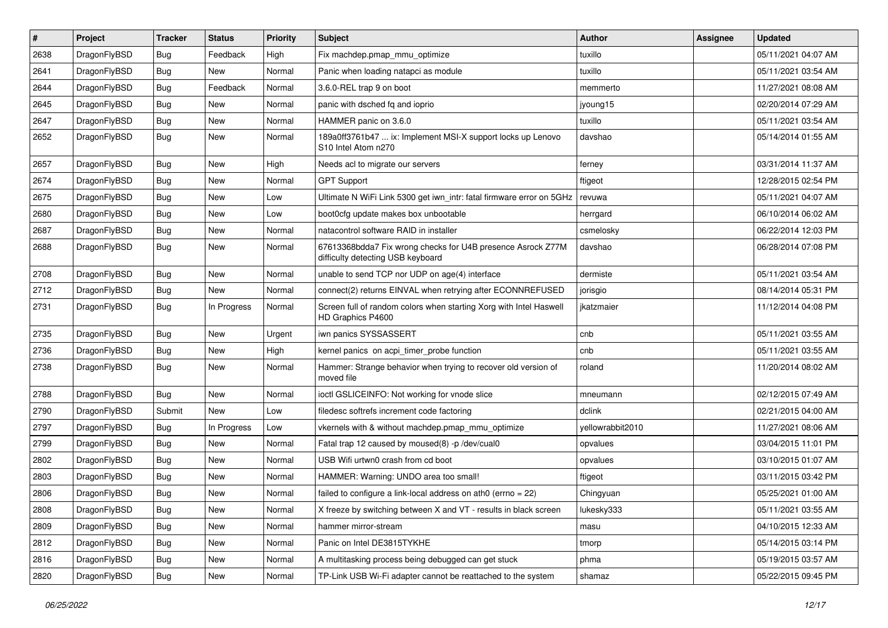| #    | Project      | <b>Tracker</b> | <b>Status</b> | <b>Priority</b> | Subject                                                                                          | Author           | <b>Assignee</b> | <b>Updated</b>      |
|------|--------------|----------------|---------------|-----------------|--------------------------------------------------------------------------------------------------|------------------|-----------------|---------------------|
| 2638 | DragonFlyBSD | Bug            | Feedback      | High            | Fix machdep.pmap_mmu_optimize                                                                    | tuxillo          |                 | 05/11/2021 04:07 AM |
| 2641 | DragonFlyBSD | Bug            | New           | Normal          | Panic when loading natapci as module                                                             | tuxillo          |                 | 05/11/2021 03:54 AM |
| 2644 | DragonFlyBSD | <b>Bug</b>     | Feedback      | Normal          | 3.6.0-REL trap 9 on boot                                                                         | memmerto         |                 | 11/27/2021 08:08 AM |
| 2645 | DragonFlyBSD | Bug            | New           | Normal          | panic with dsched fq and ioprio                                                                  | jyoung15         |                 | 02/20/2014 07:29 AM |
| 2647 | DragonFlyBSD | <b>Bug</b>     | New           | Normal          | HAMMER panic on 3.6.0                                                                            | tuxillo          |                 | 05/11/2021 03:54 AM |
| 2652 | DragonFlyBSD | Bug            | New           | Normal          | 189a0ff3761b47  ix: Implement MSI-X support locks up Lenovo<br>S10 Intel Atom n270               | davshao          |                 | 05/14/2014 01:55 AM |
| 2657 | DragonFlyBSD | Bug            | <b>New</b>    | High            | Needs acl to migrate our servers                                                                 | ferney           |                 | 03/31/2014 11:37 AM |
| 2674 | DragonFlyBSD | Bug            | <b>New</b>    | Normal          | <b>GPT Support</b>                                                                               | ftigeot          |                 | 12/28/2015 02:54 PM |
| 2675 | DragonFlyBSD | Bug            | <b>New</b>    | Low             | Ultimate N WiFi Link 5300 get iwn intr: fatal firmware error on 5GHz                             | revuwa           |                 | 05/11/2021 04:07 AM |
| 2680 | DragonFlyBSD | <b>Bug</b>     | New           | Low             | boot0cfg update makes box unbootable                                                             | herrgard         |                 | 06/10/2014 06:02 AM |
| 2687 | DragonFlyBSD | Bug            | <b>New</b>    | Normal          | natacontrol software RAID in installer                                                           | csmelosky        |                 | 06/22/2014 12:03 PM |
| 2688 | DragonFlyBSD | Bug            | New           | Normal          | 67613368bdda7 Fix wrong checks for U4B presence Asrock Z77M<br>difficulty detecting USB keyboard | davshao          |                 | 06/28/2014 07:08 PM |
| 2708 | DragonFlyBSD | Bug            | <b>New</b>    | Normal          | unable to send TCP nor UDP on age(4) interface                                                   | dermiste         |                 | 05/11/2021 03:54 AM |
| 2712 | DragonFlyBSD | <b>Bug</b>     | New           | Normal          | connect(2) returns EINVAL when retrying after ECONNREFUSED                                       | jorisgio         |                 | 08/14/2014 05:31 PM |
| 2731 | DragonFlyBSD | Bug            | In Progress   | Normal          | Screen full of random colors when starting Xorg with Intel Haswell<br>HD Graphics P4600          | jkatzmaier       |                 | 11/12/2014 04:08 PM |
| 2735 | DragonFlyBSD | <b>Bug</b>     | New           | Urgent          | iwn panics SYSSASSERT                                                                            | cnb              |                 | 05/11/2021 03:55 AM |
| 2736 | DragonFlyBSD | Bug            | <b>New</b>    | High            | kernel panics on acpi_timer_probe function                                                       | cnb              |                 | 05/11/2021 03:55 AM |
| 2738 | DragonFlyBSD | <b>Bug</b>     | New           | Normal          | Hammer: Strange behavior when trying to recover old version of<br>moved file                     | roland           |                 | 11/20/2014 08:02 AM |
| 2788 | DragonFlyBSD | <b>Bug</b>     | <b>New</b>    | Normal          | ioctl GSLICEINFO: Not working for vnode slice                                                    | mneumann         |                 | 02/12/2015 07:49 AM |
| 2790 | DragonFlyBSD | Submit         | New           | Low             | filedesc softrefs increment code factoring                                                       | dclink           |                 | 02/21/2015 04:00 AM |
| 2797 | DragonFlyBSD | Bug            | In Progress   | Low             | vkernels with & without machdep.pmap_mmu_optimize                                                | yellowrabbit2010 |                 | 11/27/2021 08:06 AM |
| 2799 | DragonFlyBSD | <b>Bug</b>     | New           | Normal          | Fatal trap 12 caused by moused(8) -p /dev/cual0                                                  | opvalues         |                 | 03/04/2015 11:01 PM |
| 2802 | DragonFlyBSD | <b>Bug</b>     | New           | Normal          | USB Wifi urtwn0 crash from cd boot                                                               | opvalues         |                 | 03/10/2015 01:07 AM |
| 2803 | DragonFlyBSD | Bug            | <b>New</b>    | Normal          | HAMMER: Warning: UNDO area too small!                                                            | ftigeot          |                 | 03/11/2015 03:42 PM |
| 2806 | DragonFlyBSD | <b>Bug</b>     | New           | Normal          | failed to configure a link-local address on ath $0$ (errno = 22)                                 | Chingyuan        |                 | 05/25/2021 01:00 AM |
| 2808 | DragonFlyBSD | <b>Bug</b>     | New           | Normal          | X freeze by switching between X and VT - results in black screen                                 | lukesky333       |                 | 05/11/2021 03:55 AM |
| 2809 | DragonFlyBSD | <b>Bug</b>     | New           | Normal          | hammer mirror-stream                                                                             | masu             |                 | 04/10/2015 12:33 AM |
| 2812 | DragonFlyBSD | <b>Bug</b>     | New           | Normal          | Panic on Intel DE3815TYKHE                                                                       | tmorp            |                 | 05/14/2015 03:14 PM |
| 2816 | DragonFlyBSD | <b>Bug</b>     | New           | Normal          | A multitasking process being debugged can get stuck                                              | phma             |                 | 05/19/2015 03:57 AM |
| 2820 | DragonFlyBSD | Bug            | New           | Normal          | TP-Link USB Wi-Fi adapter cannot be reattached to the system                                     | shamaz           |                 | 05/22/2015 09:45 PM |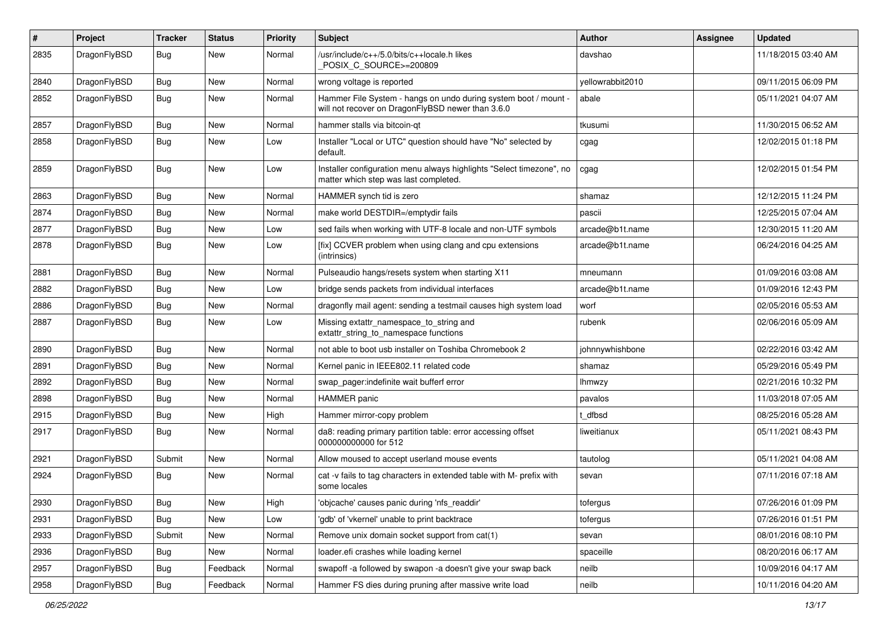| #    | Project      | <b>Tracker</b> | <b>Status</b> | <b>Priority</b> | Subject                                                                                                              | Author           | Assignee | <b>Updated</b>      |
|------|--------------|----------------|---------------|-----------------|----------------------------------------------------------------------------------------------------------------------|------------------|----------|---------------------|
| 2835 | DragonFlyBSD | <b>Bug</b>     | New           | Normal          | /usr/include/c++/5.0/bits/c++locale.h likes<br>POSIX_C_SOURCE>=200809                                                | davshao          |          | 11/18/2015 03:40 AM |
| 2840 | DragonFlyBSD | <b>Bug</b>     | New           | Normal          | wrong voltage is reported                                                                                            | yellowrabbit2010 |          | 09/11/2015 06:09 PM |
| 2852 | DragonFlyBSD | <b>Bug</b>     | <b>New</b>    | Normal          | Hammer File System - hangs on undo during system boot / mount -<br>will not recover on DragonFlyBSD newer than 3.6.0 | abale            |          | 05/11/2021 04:07 AM |
| 2857 | DragonFlyBSD | <b>Bug</b>     | New           | Normal          | hammer stalls via bitcoin-qt                                                                                         | tkusumi          |          | 11/30/2015 06:52 AM |
| 2858 | DragonFlyBSD | <b>Bug</b>     | New           | Low             | Installer "Local or UTC" question should have "No" selected by<br>default.                                           | cgag             |          | 12/02/2015 01:18 PM |
| 2859 | DragonFlyBSD | Bug            | New           | Low             | Installer configuration menu always highlights "Select timezone", no<br>matter which step was last completed.        | cgag             |          | 12/02/2015 01:54 PM |
| 2863 | DragonFlyBSD | <b>Bug</b>     | New           | Normal          | HAMMER synch tid is zero                                                                                             | shamaz           |          | 12/12/2015 11:24 PM |
| 2874 | DragonFlyBSD | <b>Bug</b>     | New           | Normal          | make world DESTDIR=/emptydir fails                                                                                   | pascii           |          | 12/25/2015 07:04 AM |
| 2877 | DragonFlyBSD | Bug            | New           | Low             | sed fails when working with UTF-8 locale and non-UTF symbols                                                         | arcade@b1t.name  |          | 12/30/2015 11:20 AM |
| 2878 | DragonFlyBSD | <b>Bug</b>     | New           | Low             | [fix] CCVER problem when using clang and cpu extensions<br>(intrinsics)                                              | arcade@b1t.name  |          | 06/24/2016 04:25 AM |
| 2881 | DragonFlyBSD | <b>Bug</b>     | New           | Normal          | Pulseaudio hangs/resets system when starting X11                                                                     | mneumann         |          | 01/09/2016 03:08 AM |
| 2882 | DragonFlyBSD | <b>Bug</b>     | <b>New</b>    | Low             | bridge sends packets from individual interfaces                                                                      | arcade@b1t.name  |          | 01/09/2016 12:43 PM |
| 2886 | DragonFlyBSD | Bug            | New           | Normal          | dragonfly mail agent: sending a testmail causes high system load                                                     | worf             |          | 02/05/2016 05:53 AM |
| 2887 | DragonFlyBSD | <b>Bug</b>     | <b>New</b>    | Low             | Missing extattr_namespace_to_string and<br>extattr_string_to_namespace functions                                     | rubenk           |          | 02/06/2016 05:09 AM |
| 2890 | DragonFlyBSD | Bug            | <b>New</b>    | Normal          | not able to boot usb installer on Toshiba Chromebook 2                                                               | johnnywhishbone  |          | 02/22/2016 03:42 AM |
| 2891 | DragonFlyBSD | <b>Bug</b>     | New           | Normal          | Kernel panic in IEEE802.11 related code                                                                              | shamaz           |          | 05/29/2016 05:49 PM |
| 2892 | DragonFlyBSD | <b>Bug</b>     | New           | Normal          | swap_pager:indefinite wait bufferf error                                                                             | <b>Ihmwzy</b>    |          | 02/21/2016 10:32 PM |
| 2898 | DragonFlyBSD | <b>Bug</b>     | <b>New</b>    | Normal          | <b>HAMMER</b> panic                                                                                                  | pavalos          |          | 11/03/2018 07:05 AM |
| 2915 | DragonFlyBSD | <b>Bug</b>     | New           | High            | Hammer mirror-copy problem                                                                                           | : dfbsd          |          | 08/25/2016 05:28 AM |
| 2917 | DragonFlyBSD | Bug            | New           | Normal          | da8: reading primary partition table: error accessing offset<br>000000000000 for 512                                 | liweitianux      |          | 05/11/2021 08:43 PM |
| 2921 | DragonFlyBSD | Submit         | New           | Normal          | Allow moused to accept userland mouse events                                                                         | tautolog         |          | 05/11/2021 04:08 AM |
| 2924 | DragonFlyBSD | Bug            | New           | Normal          | cat -v fails to tag characters in extended table with M- prefix with<br>some locales                                 | sevan            |          | 07/11/2016 07:18 AM |
| 2930 | DragonFlyBSD | <b>Bug</b>     | New           | High            | 'objcache' causes panic during 'nfs_readdir'                                                                         | tofergus         |          | 07/26/2016 01:09 PM |
| 2931 | DragonFlyBSD | <b>Bug</b>     | New           | Low             | 'gdb' of 'vkernel' unable to print backtrace                                                                         | tofergus         |          | 07/26/2016 01:51 PM |
| 2933 | DragonFlyBSD | Submit         | New           | Normal          | Remove unix domain socket support from cat(1)                                                                        | sevan            |          | 08/01/2016 08:10 PM |
| 2936 | DragonFlyBSD | Bug            | New           | Normal          | loader.efi crashes while loading kernel                                                                              | spaceille        |          | 08/20/2016 06:17 AM |
| 2957 | DragonFlyBSD | Bug            | Feedback      | Normal          | swapoff -a followed by swapon -a doesn't give your swap back                                                         | neilb            |          | 10/09/2016 04:17 AM |
| 2958 | DragonFlyBSD | Bug            | Feedback      | Normal          | Hammer FS dies during pruning after massive write load                                                               | neilb            |          | 10/11/2016 04:20 AM |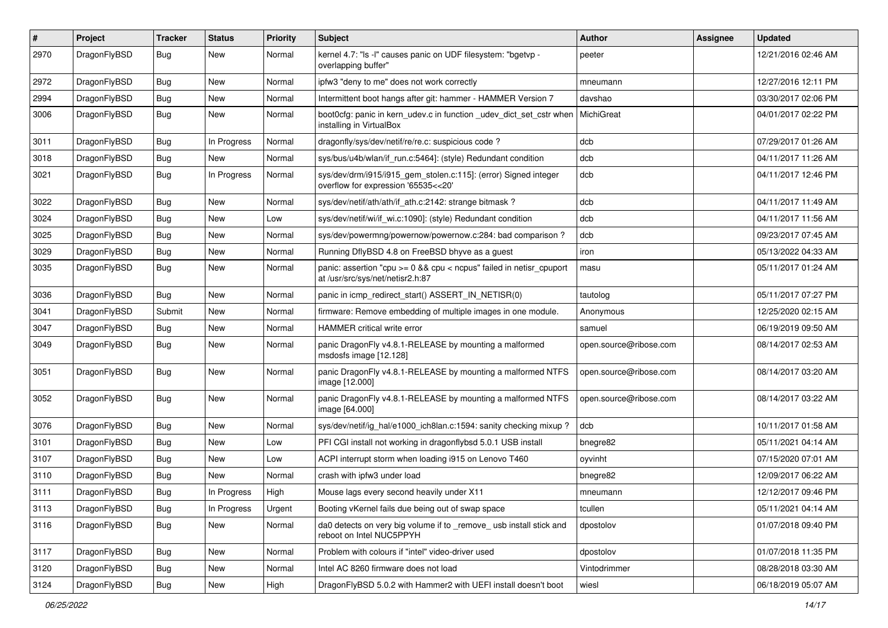| #    | Project      | <b>Tracker</b> | <b>Status</b> | <b>Priority</b> | Subject                                                                                                 | <b>Author</b>          | Assignee | <b>Updated</b>      |
|------|--------------|----------------|---------------|-----------------|---------------------------------------------------------------------------------------------------------|------------------------|----------|---------------------|
| 2970 | DragonFlyBSD | Bug            | <b>New</b>    | Normal          | kernel 4.7: "Is -I" causes panic on UDF filesystem: "bgetvp -<br>overlapping buffer"                    | peeter                 |          | 12/21/2016 02:46 AM |
| 2972 | DragonFlyBSD | <b>Bug</b>     | <b>New</b>    | Normal          | ipfw3 "deny to me" does not work correctly                                                              | mneumann               |          | 12/27/2016 12:11 PM |
| 2994 | DragonFlyBSD | <b>Bug</b>     | New           | Normal          | Intermittent boot hangs after git: hammer - HAMMER Version 7                                            | davshao                |          | 03/30/2017 02:06 PM |
| 3006 | DragonFlyBSD | Bug            | <b>New</b>    | Normal          | boot0cfg: panic in kern_udev.c in function _udev_dict_set_cstr when<br>installing in VirtualBox         | MichiGreat             |          | 04/01/2017 02:22 PM |
| 3011 | DragonFlyBSD | <b>Bug</b>     | In Progress   | Normal          | dragonfly/sys/dev/netif/re/re.c: suspicious code ?                                                      | dcb                    |          | 07/29/2017 01:26 AM |
| 3018 | DragonFlyBSD | <b>Bug</b>     | New           | Normal          | sys/bus/u4b/wlan/if run.c:5464]: (style) Redundant condition                                            | dcb                    |          | 04/11/2017 11:26 AM |
| 3021 | DragonFlyBSD | <b>Bug</b>     | In Progress   | Normal          | sys/dev/drm/i915/i915_gem_stolen.c:115]: (error) Signed integer<br>overflow for expression '65535<<20'  | dcb                    |          | 04/11/2017 12:46 PM |
| 3022 | DragonFlyBSD | <b>Bug</b>     | <b>New</b>    | Normal          | sys/dev/netif/ath/ath/if ath.c:2142: strange bitmask?                                                   | dcb                    |          | 04/11/2017 11:49 AM |
| 3024 | DragonFlyBSD | <b>Bug</b>     | New           | Low             | sys/dev/netif/wi/if wi.c:1090]: (style) Redundant condition                                             | dcb                    |          | 04/11/2017 11:56 AM |
| 3025 | DragonFlyBSD | <b>Bug</b>     | <b>New</b>    | Normal          | sys/dev/powermng/powernow/powernow.c:284: bad comparison?                                               | dcb                    |          | 09/23/2017 07:45 AM |
| 3029 | DragonFlyBSD | <b>Bug</b>     | <b>New</b>    | Normal          | Running DflyBSD 4.8 on FreeBSD bhyve as a guest                                                         | iron                   |          | 05/13/2022 04:33 AM |
| 3035 | DragonFlyBSD | Bug            | <b>New</b>    | Normal          | panic: assertion "cpu >= 0 && cpu < ncpus" failed in netisr_cpuport<br>at /usr/src/sys/net/netisr2.h:87 | masu                   |          | 05/11/2017 01:24 AM |
| 3036 | DragonFlyBSD | Bug            | <b>New</b>    | Normal          | panic in icmp_redirect_start() ASSERT_IN_NETISR(0)                                                      | tautolog               |          | 05/11/2017 07:27 PM |
| 3041 | DragonFlyBSD | Submit         | <b>New</b>    | Normal          | firmware: Remove embedding of multiple images in one module.                                            | Anonymous              |          | 12/25/2020 02:15 AM |
| 3047 | DragonFlyBSD | Bug            | New           | Normal          | HAMMER critical write error                                                                             | samuel                 |          | 06/19/2019 09:50 AM |
| 3049 | DragonFlyBSD | Bug            | New           | Normal          | panic DragonFly v4.8.1-RELEASE by mounting a malformed<br>msdosfs image [12.128]                        | open.source@ribose.com |          | 08/14/2017 02:53 AM |
| 3051 | DragonFlyBSD | Bug            | <b>New</b>    | Normal          | panic DragonFly v4.8.1-RELEASE by mounting a malformed NTFS<br>image [12.000]                           | open.source@ribose.com |          | 08/14/2017 03:20 AM |
| 3052 | DragonFlyBSD | Bug            | <b>New</b>    | Normal          | panic DragonFly v4.8.1-RELEASE by mounting a malformed NTFS<br>image [64.000]                           | open.source@ribose.com |          | 08/14/2017 03:22 AM |
| 3076 | DragonFlyBSD | Bug            | <b>New</b>    | Normal          | sys/dev/netif/ig_hal/e1000_ich8lan.c:1594: sanity checking mixup?                                       | dcb                    |          | 10/11/2017 01:58 AM |
| 3101 | DragonFlyBSD | <b>Bug</b>     | New           | Low             | PFI CGI install not working in dragonflybsd 5.0.1 USB install                                           | bnegre82               |          | 05/11/2021 04:14 AM |
| 3107 | DragonFlyBSD | <b>Bug</b>     | New           | Low             | ACPI interrupt storm when loading i915 on Lenovo T460                                                   | oyvinht                |          | 07/15/2020 07:01 AM |
| 3110 | DragonFlyBSD | <b>Bug</b>     | <b>New</b>    | Normal          | crash with ipfw3 under load                                                                             | bnegre82               |          | 12/09/2017 06:22 AM |
| 3111 | DragonFlyBSD | Bug            | In Progress   | High            | Mouse lags every second heavily under X11                                                               | mneumann               |          | 12/12/2017 09:46 PM |
| 3113 | DragonFlyBSD | Bug            | In Progress   | Urgent          | Booting vKernel fails due being out of swap space                                                       | tcullen                |          | 05/11/2021 04:14 AM |
| 3116 | DragonFlyBSD | Bug            | New           | Normal          | da0 detects on very big volume if to _remove_ usb install stick and<br>reboot on Intel NUC5PPYH         | dpostolov              |          | 01/07/2018 09:40 PM |
| 3117 | DragonFlyBSD | <b>Bug</b>     | New           | Normal          | Problem with colours if "intel" video-driver used                                                       | dpostolov              |          | 01/07/2018 11:35 PM |
| 3120 | DragonFlyBSD | <b>Bug</b>     | New           | Normal          | Intel AC 8260 firmware does not load                                                                    | Vintodrimmer           |          | 08/28/2018 03:30 AM |
| 3124 | DragonFlyBSD | <b>Bug</b>     | New           | High            | DragonFlyBSD 5.0.2 with Hammer2 with UEFI install doesn't boot                                          | wiesl                  |          | 06/18/2019 05:07 AM |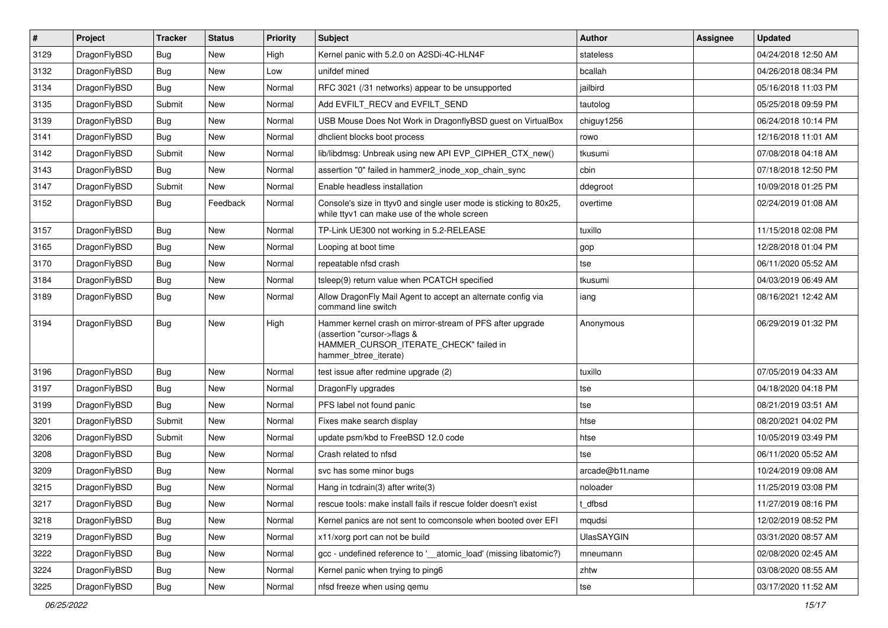| $\sharp$ | Project      | <b>Tracker</b> | <b>Status</b> | <b>Priority</b> | Subject                                                                                                                                                     | <b>Author</b>     | <b>Assignee</b> | <b>Updated</b>      |
|----------|--------------|----------------|---------------|-----------------|-------------------------------------------------------------------------------------------------------------------------------------------------------------|-------------------|-----------------|---------------------|
| 3129     | DragonFlyBSD | Bug            | New           | High            | Kernel panic with 5.2.0 on A2SDi-4C-HLN4F                                                                                                                   | stateless         |                 | 04/24/2018 12:50 AM |
| 3132     | DragonFlyBSD | Bug            | <b>New</b>    | Low             | unifdef mined                                                                                                                                               | bcallah           |                 | 04/26/2018 08:34 PM |
| 3134     | DragonFlyBSD | Bug            | New           | Normal          | RFC 3021 (/31 networks) appear to be unsupported                                                                                                            | jailbird          |                 | 05/16/2018 11:03 PM |
| 3135     | DragonFlyBSD | Submit         | New           | Normal          | Add EVFILT_RECV and EVFILT_SEND                                                                                                                             | tautolog          |                 | 05/25/2018 09:59 PM |
| 3139     | DragonFlyBSD | Bug            | <b>New</b>    | Normal          | USB Mouse Does Not Work in DragonflyBSD guest on VirtualBox                                                                                                 | chiguy1256        |                 | 06/24/2018 10:14 PM |
| 3141     | DragonFlyBSD | Bug            | <b>New</b>    | Normal          | dhclient blocks boot process                                                                                                                                | rowo              |                 | 12/16/2018 11:01 AM |
| 3142     | DragonFlyBSD | Submit         | New           | Normal          | lib/libdmsg: Unbreak using new API EVP_CIPHER_CTX_new()                                                                                                     | tkusumi           |                 | 07/08/2018 04:18 AM |
| 3143     | DragonFlyBSD | Bug            | New           | Normal          | assertion "0" failed in hammer2_inode_xop_chain_sync                                                                                                        | cbin              |                 | 07/18/2018 12:50 PM |
| 3147     | DragonFlyBSD | Submit         | New           | Normal          | Enable headless installation                                                                                                                                | ddegroot          |                 | 10/09/2018 01:25 PM |
| 3152     | DragonFlyBSD | <b>Bug</b>     | Feedback      | Normal          | Console's size in ttyv0 and single user mode is sticking to 80x25,<br>while ttyv1 can make use of the whole screen                                          | overtime          |                 | 02/24/2019 01:08 AM |
| 3157     | DragonFlyBSD | Bug            | <b>New</b>    | Normal          | TP-Link UE300 not working in 5.2-RELEASE                                                                                                                    | tuxillo           |                 | 11/15/2018 02:08 PM |
| 3165     | DragonFlyBSD | Bug            | <b>New</b>    | Normal          | Looping at boot time                                                                                                                                        | gop               |                 | 12/28/2018 01:04 PM |
| 3170     | DragonFlyBSD | <b>Bug</b>     | <b>New</b>    | Normal          | repeatable nfsd crash                                                                                                                                       | tse               |                 | 06/11/2020 05:52 AM |
| 3184     | DragonFlyBSD | Bug            | New           | Normal          | tsleep(9) return value when PCATCH specified                                                                                                                | tkusumi           |                 | 04/03/2019 06:49 AM |
| 3189     | DragonFlyBSD | Bug            | <b>New</b>    | Normal          | Allow DragonFly Mail Agent to accept an alternate config via<br>command line switch                                                                         | iang              |                 | 08/16/2021 12:42 AM |
| 3194     | DragonFlyBSD | <b>Bug</b>     | New           | High            | Hammer kernel crash on mirror-stream of PFS after upgrade<br>(assertion "cursor->flags &<br>HAMMER_CURSOR_ITERATE_CHECK" failed in<br>hammer_btree_iterate) | Anonymous         |                 | 06/29/2019 01:32 PM |
| 3196     | DragonFlyBSD | Bug            | New           | Normal          | test issue after redmine upgrade (2)                                                                                                                        | tuxillo           |                 | 07/05/2019 04:33 AM |
| 3197     | DragonFlyBSD | Bug            | New           | Normal          | DragonFly upgrades                                                                                                                                          | tse               |                 | 04/18/2020 04:18 PM |
| 3199     | DragonFlyBSD | Bug            | New           | Normal          | PFS label not found panic                                                                                                                                   | tse               |                 | 08/21/2019 03:51 AM |
| 3201     | DragonFlyBSD | Submit         | <b>New</b>    | Normal          | Fixes make search display                                                                                                                                   | htse              |                 | 08/20/2021 04:02 PM |
| 3206     | DragonFlyBSD | Submit         | New           | Normal          | update psm/kbd to FreeBSD 12.0 code                                                                                                                         | htse              |                 | 10/05/2019 03:49 PM |
| 3208     | DragonFlyBSD | Bug            | New           | Normal          | Crash related to nfsd                                                                                                                                       | tse               |                 | 06/11/2020 05:52 AM |
| 3209     | DragonFlyBSD | Bug            | New           | Normal          | svc has some minor bugs                                                                                                                                     | arcade@b1t.name   |                 | 10/24/2019 09:08 AM |
| 3215     | DragonFlyBSD | Bug            | <b>New</b>    | Normal          | Hang in tcdrain(3) after write(3)                                                                                                                           | noloader          |                 | 11/25/2019 03:08 PM |
| 3217     | DragonFlyBSD | <b>Bug</b>     | <b>New</b>    | Normal          | rescue tools: make install fails if rescue folder doesn't exist                                                                                             | t_dfbsd           |                 | 11/27/2019 08:16 PM |
| 3218     | DragonFlyBSD | <b>Bug</b>     | <b>New</b>    | Normal          | Kernel panics are not sent to comconsole when booted over EFI                                                                                               | mqudsi            |                 | 12/02/2019 08:52 PM |
| 3219     | DragonFlyBSD | <b>Bug</b>     | New           | Normal          | x11/xorg port can not be build                                                                                                                              | <b>UlasSAYGIN</b> |                 | 03/31/2020 08:57 AM |
| 3222     | DragonFlyBSD | <b>Bug</b>     | New           | Normal          | gcc - undefined reference to '__atomic_load' (missing libatomic?)                                                                                           | mneumann          |                 | 02/08/2020 02:45 AM |
| 3224     | DragonFlyBSD | <b>Bug</b>     | New           | Normal          | Kernel panic when trying to ping6                                                                                                                           | zhtw              |                 | 03/08/2020 08:55 AM |
| 3225     | DragonFlyBSD | <b>Bug</b>     | New           | Normal          | nfsd freeze when using gemu                                                                                                                                 | tse               |                 | 03/17/2020 11:52 AM |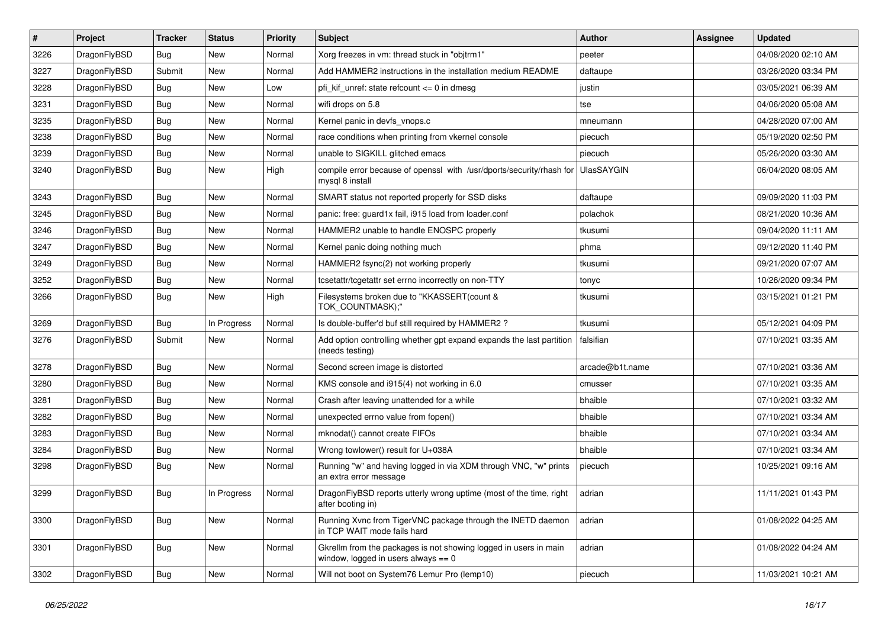| $\sharp$ | Project      | <b>Tracker</b> | <b>Status</b> | <b>Priority</b> | Subject                                                                                                   | Author            | Assignee | <b>Updated</b>      |
|----------|--------------|----------------|---------------|-----------------|-----------------------------------------------------------------------------------------------------------|-------------------|----------|---------------------|
| 3226     | DragonFlyBSD | <b>Bug</b>     | <b>New</b>    | Normal          | Xorg freezes in vm: thread stuck in "objtrm1"                                                             | peeter            |          | 04/08/2020 02:10 AM |
| 3227     | DragonFlyBSD | Submit         | <b>New</b>    | Normal          | Add HAMMER2 instructions in the installation medium README                                                | daftaupe          |          | 03/26/2020 03:34 PM |
| 3228     | DragonFlyBSD | Bug            | New           | Low             | pfi kif unref: state refcount $\leq$ 0 in dmesg                                                           | justin            |          | 03/05/2021 06:39 AM |
| 3231     | DragonFlyBSD | Bug            | New           | Normal          | wifi drops on 5.8                                                                                         | tse               |          | 04/06/2020 05:08 AM |
| 3235     | DragonFlyBSD | Bug            | <b>New</b>    | Normal          | Kernel panic in devfs vnops.c                                                                             | mneumann          |          | 04/28/2020 07:00 AM |
| 3238     | DragonFlyBSD | Bug            | <b>New</b>    | Normal          | race conditions when printing from vkernel console                                                        | piecuch           |          | 05/19/2020 02:50 PM |
| 3239     | DragonFlyBSD | Bug            | New           | Normal          | unable to SIGKILL glitched emacs                                                                          | piecuch           |          | 05/26/2020 03:30 AM |
| 3240     | DragonFlyBSD | Bug            | <b>New</b>    | High            | compile error because of openssl with /usr/dports/security/rhash for<br>mysql 8 install                   | <b>UlasSAYGIN</b> |          | 06/04/2020 08:05 AM |
| 3243     | DragonFlyBSD | Bug            | <b>New</b>    | Normal          | SMART status not reported properly for SSD disks                                                          | daftaupe          |          | 09/09/2020 11:03 PM |
| 3245     | DragonFlyBSD | Bug            | New           | Normal          | panic: free: guard1x fail, i915 load from loader.conf                                                     | polachok          |          | 08/21/2020 10:36 AM |
| 3246     | DragonFlyBSD | Bug            | New           | Normal          | HAMMER2 unable to handle ENOSPC properly                                                                  | tkusumi           |          | 09/04/2020 11:11 AM |
| 3247     | DragonFlyBSD | Bug            | New           | Normal          | Kernel panic doing nothing much                                                                           | phma              |          | 09/12/2020 11:40 PM |
| 3249     | DragonFlyBSD | Bug            | <b>New</b>    | Normal          | HAMMER2 fsync(2) not working properly                                                                     | tkusumi           |          | 09/21/2020 07:07 AM |
| 3252     | DragonFlyBSD | Bug            | New           | Normal          | tcsetattr/tcgetattr set errno incorrectly on non-TTY                                                      | tonyc             |          | 10/26/2020 09:34 PM |
| 3266     | DragonFlyBSD | Bug            | <b>New</b>    | High            | Filesystems broken due to "KKASSERT(count &<br>TOK_COUNTMASK);"                                           | tkusumi           |          | 03/15/2021 01:21 PM |
| 3269     | DragonFlyBSD | <b>Bug</b>     | In Progress   | Normal          | Is double-buffer'd buf still required by HAMMER2 ?                                                        | tkusumi           |          | 05/12/2021 04:09 PM |
| 3276     | DragonFlyBSD | Submit         | New           | Normal          | Add option controlling whether gpt expand expands the last partition<br>(needs testing)                   | falsifian         |          | 07/10/2021 03:35 AM |
| 3278     | DragonFlyBSD | Bug            | <b>New</b>    | Normal          | Second screen image is distorted                                                                          | arcade@b1t.name   |          | 07/10/2021 03:36 AM |
| 3280     | DragonFlyBSD | Bug            | <b>New</b>    | Normal          | KMS console and i915(4) not working in 6.0                                                                | cmusser           |          | 07/10/2021 03:35 AM |
| 3281     | DragonFlyBSD | Bug            | <b>New</b>    | Normal          | Crash after leaving unattended for a while                                                                | bhaible           |          | 07/10/2021 03:32 AM |
| 3282     | DragonFlyBSD | <b>Bug</b>     | <b>New</b>    | Normal          | unexpected errno value from fopen()                                                                       | bhaible           |          | 07/10/2021 03:34 AM |
| 3283     | DragonFlyBSD | Bug            | New           | Normal          | mknodat() cannot create FIFOs                                                                             | bhaible           |          | 07/10/2021 03:34 AM |
| 3284     | DragonFlyBSD | Bug            | New           | Normal          | Wrong towlower() result for U+038A                                                                        | bhaible           |          | 07/10/2021 03:34 AM |
| 3298     | DragonFlyBSD | Bug            | New           | Normal          | Running "w" and having logged in via XDM through VNC, "w" prints<br>an extra error message                | piecuch           |          | 10/25/2021 09:16 AM |
| 3299     | DragonFlyBSD | Bug            | In Progress   | Normal          | DragonFlyBSD reports utterly wrong uptime (most of the time, right<br>after booting in)                   | adrian            |          | 11/11/2021 01:43 PM |
| 3300     | DragonFlyBSD | <b>Bug</b>     | New           | Normal          | Running Xvnc from TigerVNC package through the INETD daemon<br>in TCP WAIT mode fails hard                | adrian            |          | 01/08/2022 04:25 AM |
| 3301     | DragonFlyBSD | <b>Bug</b>     | <b>New</b>    | Normal          | Gkrellm from the packages is not showing logged in users in main<br>window, logged in users always $== 0$ | adrian            |          | 01/08/2022 04:24 AM |
| 3302     | DragonFlyBSD | <b>Bug</b>     | New           | Normal          | Will not boot on System76 Lemur Pro (lemp10)                                                              | piecuch           |          | 11/03/2021 10:21 AM |